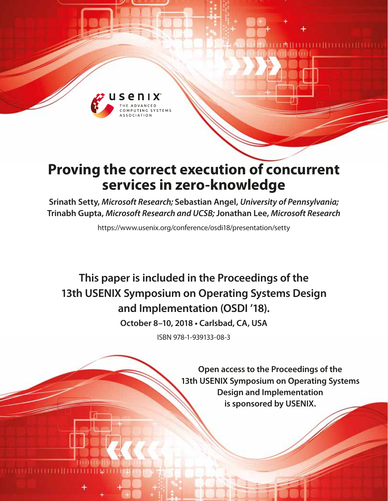

# **Proving the correct execution of concurrent services in zero-knowledge**

**Srinath Setty,** *Microsoft Research;* **Sebastian Angel,** *University of Pennsylvania;*  **Trinabh Gupta,** *Microsoft Research and UCSB;* **Jonathan Lee,** *Microsoft Research*

https://www.usenix.org/conference/osdi18/presentation/setty

**This paper is included in the Proceedings of the 13th USENIX Symposium on Operating Systems Design and Implementation (OSDI '18).**

**October 8–10, 2018 • Carlsbad, CA, USA**

ISBN 978-1-939133-08-3

**Open access to the Proceedings of the 13th USENIX Symposium on Operating Systems Design and Implementation is sponsored by USENIX.**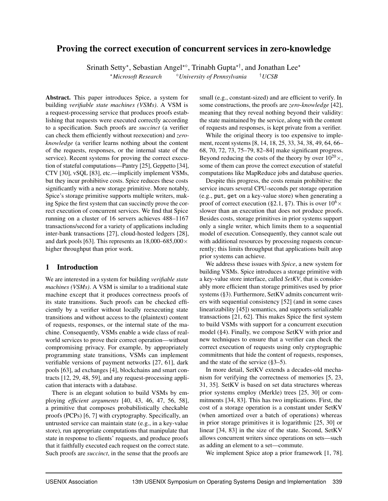# Proving the correct execution of concurrent services in zero-knowledge

Srinath Setty\*, Sebastian Angel<sup>\*</sup>°, Trinabh Gupta<sup>\*†</sup>, and Jonathan Lee<sup>\*</sup>

<sup>⋆</sup>*Microsoft Research* <sup>⋄</sup>*University of Pennsylvania* †*UCSB*

Abstract. This paper introduces Spice, a system for building *verifiable state machines (VSMs)*. A VSM is a request-processing service that produces proofs establishing that requests were executed correctly according to a specification. Such proofs are *succinct* (a verifier can check them efficiently without reexecution) and *zeroknowledge* (a verifier learns nothing about the content of the requests, responses, or the internal state of the service). Recent systems for proving the correct execution of stateful computations—Pantry [\[25\]](#page-16-0), Geppetto [\[34\]](#page-17-0), CTV [\[30\]](#page-17-1), vSQL [\[83\]](#page-18-0), etc.—implicitly implement VSMs, but they incur prohibitive costs. Spice reduces these costs significantly with a new storage primitive. More notably, Spice's storage primitive supports multiple writers, making Spice the first system that can succinctly prove the correct execution of concurrent services. We find that Spice running on a cluster of 16 servers achieves 488–1167 transactions/second for a variety of applications including inter-bank transactions [\[27\]](#page-16-1), cloud-hosted ledgers [\[28\]](#page-17-2), and dark pools [\[63\]](#page-18-1). This represents an  $18,000-685,000 \times$ higher throughput than prior work.

# <span id="page-1-0"></span>1 Introduction

We are interested in a system for building *verifiable state machines (VSMs)*. A VSM is similar to a traditional state machine except that it produces correctness proofs of its state transitions. Such proofs can be checked efficiently by a verifier without locally reexecuting state transitions and without access to the (plaintext) content of requests, responses, or the internal state of the machine. Consequently, VSMs enable a wide class of realworld services to prove their correct operation—without compromising privacy. For example, by appropriately programming state transitions, VSMs can implement verifiable versions of payment networks [\[27,](#page-16-1) [61\]](#page-18-2), dark pools [\[63\]](#page-18-1), ad exchanges [\[4\]](#page-16-2), blockchains and smart contracts [\[12,](#page-16-3) [29,](#page-17-3) [48,](#page-17-4) [59\]](#page-18-3), and any request-processing application that interacts with a database.

There is an elegant solution to build VSMs by employing *efficient arguments* [\[40,](#page-17-5) [43,](#page-17-6) [46,](#page-17-7) [47,](#page-17-8) [56,](#page-17-9) [58\]](#page-17-10), a primitive that composes probabilistically checkable proofs (PCPs) [\[6,](#page-16-4) [7\]](#page-16-5) with cryptography. Specifically, an untrusted service can maintain state (e.g., in a key-value store), run appropriate computations that manipulate that state in response to clients' requests, and produce proofs that it faithfully executed each request on the correct state. Such proofs are *succinct*, in the sense that the proofs are

small (e.g., constant-sized) and are efficient to verify. In some constructions, the proofs are *zero-knowledge* [\[42\]](#page-17-11), meaning that they reveal nothing beyond their validity: the state maintained by the service, along with the content of requests and responses, is kept private from a verifier.

While the original theory is too expensive to implement, recent systems [\[8,](#page-16-6) [14,](#page-16-7) [18,](#page-16-8) [25,](#page-16-0) [33,](#page-17-12) [34,](#page-17-0) [38,](#page-17-13) [49,](#page-17-14) [64,](#page-18-4) [66–](#page-18-5) [68,](#page-18-6) [70,](#page-18-7) [72,](#page-18-8) [73,](#page-18-9) [75–](#page-18-10)[79,](#page-18-11) [82–](#page-18-12)[84\]](#page-18-13) make significant progress. Beyond reducing the costs of the theory by over  $10^{20} \times$ , some of them can prove the correct execution of stateful computations like MapReduce jobs and database queries.

Despite this progress, the costs remain prohibitive: the service incurs several CPU-seconds per storage operation (e.g., put, get on a key-value store) when generating a proof of correct execution ([§2.1,](#page-3-0) [§7\)](#page-12-0). This is over  $10^6 \times$ slower than an execution that does not produce proofs. Besides costs, storage primitives in prior systems support only a single writer, which limits them to a sequential model of execution. Consequently, they cannot scale out with additional resources by processing requests concurrently; this limits throughput that applications built atop prior systems can achieve.

We address these issues with *Spice*, a new system for building VSMs. Spice introduces a storage primitive with a key-value store interface, called *SetKV*, that is considerably more efficient than storage primitives used by prior systems ([§3\)](#page-4-0). Furthermore, SetKV admits concurrent writers with sequential consistency [\[52\]](#page-17-15) (and in some cases linearizability [\[45\]](#page-17-16)) semantics, and supports serializable transactions [\[21,](#page-16-9) [62\]](#page-18-14). This makes Spice the first system to build VSMs with support for a concurrent execution model ([§4\)](#page-8-0). Finally, we compose SetKV with prior and new techniques to ensure that a verifier can check the correct execution of requests using only cryptographic commitments that hide the content of requests, responses, and the state of the service ([§3–](#page-4-0)[5\)](#page-10-0).

In more detail, SetKV extends a decades-old mechanism for verifying the correctness of memories [\[5,](#page-16-10) [23,](#page-16-11) [31,](#page-17-17) [35\]](#page-17-18). SetKV is based on set data structures whereas prior systems employ (Merkle) trees [\[25,](#page-16-0) [30\]](#page-17-1) or commitments [\[34,](#page-17-0) [83\]](#page-18-0). This has two implications. First, the cost of a storage operation is a constant under SetKV (when amortized over a batch of operations) whereas in prior storage primitives it is logarithmic [\[25,](#page-16-0) [30\]](#page-17-1) or linear [\[34,](#page-17-0) [83\]](#page-18-0) in the size of the state. Second, SetKV allows concurrent writers since operations on sets—such as adding an element to a set—commute.

We implement Spice atop a prior framework [\[1,](#page-16-12) [78\]](#page-18-15).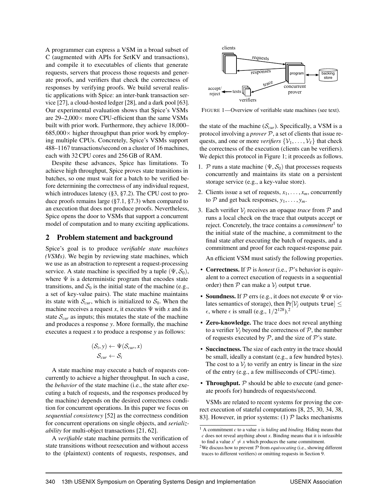A programmer can express a VSM in a broad subset of C (augmented with APIs for SetKV and transactions), and compile it to executables of clients that generate requests, servers that process those requests and generate proofs, and verifiers that check the correctness of responses by verifying proofs. We build several realistic applications with Spice: an inter-bank transaction service [\[27\]](#page-16-1), a cloud-hosted ledger [\[28\]](#page-17-2), and a dark pool [\[63\]](#page-18-1). Our experimental evaluation shows that Spice's VSMs are  $29-2,000 \times$  more CPU-efficient than the same VSMs built with prior work. Furthermore, they achieve 18,000–  $685,000\times$  higher throughput than prior work by employing multiple CPUs. Concretely, Spice's VSMs support 488–1167 transactions/second on a cluster of 16 machines, each with 32 CPU cores and 256 GB of RAM.

Despite these advances, Spice has limitations. To achieve high throughput, Spice proves state transitions in batches, so one must wait for a batch to be verified before determining the correctness of any individual request, which introduces latency ([§3,](#page-4-0) [§7.2\)](#page-13-0). The CPU cost to produce proofs remains large ([§7.1,](#page-12-1) [§7.3\)](#page-14-0) when compared to an execution that does not produce proofs. Nevertheless, Spice opens the door to VSMs that support a concurrent model of computation and to many exciting applications.

## <span id="page-2-1"></span>2 Problem statement and background

Spice's goal is to produce *verifiable state machines (VSMs)*. We begin by reviewing state machines, which we use as an abstraction to represent a request-processing service. A state machine is specified by a tuple  $(\Psi, \mathcal{S}_0)$ , where  $\Psi$  is a deterministic program that encodes state transitions, and  $S_0$  is the initial state of the machine (e.g., a set of key-value pairs). The state machine maintains its state with  $S_{cur}$ , which is initialized to  $S_0$ . When the machine receives a request *x*, it executes  $\Psi$  with *x* and its state  $S<sub>cur</sub>$  as inputs; this mutates the state of the machine and produces a response *y*. More formally, the machine executes a request *x* to produce a response *y* as follows:

$$
(\mathcal{S}_i, y) \leftarrow \Psi(\mathcal{S}_{cur}, x)
$$

$$
\mathcal{S}_{cur} \leftarrow \mathcal{S}_i
$$

A state machine may execute a batch of requests concurrently to achieve a higher throughput. In such a case, the *behavior* of the state machine (i.e., the state after executing a batch of requests, and the responses produced by the machine) depends on the desired correctness condition for concurrent operations. In this paper we focus on *sequential consistency* [\[52\]](#page-17-15) as the correctness condition for concurrent operations on single objects, and *serializability* for multi-object transactions [\[21,](#page-16-9) [62\]](#page-18-14).

A *verifiable* state machine permits the verification of state transitions without reexecution and without access to the (plaintext) contents of requests, responses, and

<span id="page-2-0"></span>

FIGURE 1—Overview of verifiable state machines (see text).

the state of the machine  $(S<sub>cur</sub>)$ . Specifically, a VSM is a protocol involving a *prover* P, a set of clients that issue requests, and one or more *verifiers*  $\{V_1, \ldots, V_\ell\}$  that check the correctness of the execution (clients can be verifiers). We depict this protocol in Figure [1;](#page-2-0) it proceeds as follows.

- 1. P runs a state machine  $(\Psi, \mathcal{S}_0)$  that processes requests concurrently and maintains its state on a persistent storage service (e.g., a key-value store).
- 2. Clients issue a set of requests,  $x_1, \ldots, x_m$ , concurrently to  $P$  and get back responses,  $y_1, \ldots, y_m$ .
- <span id="page-2-2"></span>3. Each verifier V*<sup>j</sup>* receives an opaque *trace* from P and runs a local check on the trace that outputs accept or reject. Concretely, the trace contains a *commitment*<sup>1</sup> to the initial state of the machine, a commitment to the final state after executing the batch of requests, and a commitment and proof for each request-response pair.

An efficient VSM must satisfy the following properties.

- Correctness. If  $P$  is *honest* (i.e.,  $P$ 's behavior is equivalent to a correct execution of requests in a sequential order) then  $P$  can make a  $V_i$  output true.
- Soundness. If  $P$  errs (e.g., it does not execute  $\Psi$  or violates semantics of storage), then  $Pr[\mathcal{V}_i]$  outputs true  $\leq$  $\epsilon$ , where  $\epsilon$  is small (e.g.,  $1/2^{128}$ ).<sup>2</sup>
- Zero-knowledge. The trace does not reveal anything to a verifier  $V_i$  beyond the correctness of  $P$ , the number of requests executed by  $P$ , and the size of  $P$ 's state.
- Succinctness. The size of each entry in the trace should be small, ideally a constant (e.g., a few hundred bytes). The cost to a  $V_j$  to verify an entry is linear in the size of the entry (e.g., a few milliseconds of CPU-time).
- Throughput.  $P$  should be able to execute (and generate proofs for) hundreds of requests/second.

VSMs are related to recent systems for proving the correct execution of stateful computations [\[8,](#page-16-6) [25,](#page-16-0) [30,](#page-17-1) [34,](#page-17-0) [38,](#page-17-13) [83\]](#page-18-0). However, in prior systems: (1)  $\mathcal{P}$  lacks mechanisms

<sup>1</sup> A commitment *c* to a value *x* is *hiding* and *binding*. Hiding means that *c* does not reveal anything about *x*. Binding means that it is infeasible to find a value  $x' \neq x$  which produces the same commitment.

<sup>&</sup>lt;sup>2</sup>We discuss how to prevent  $P$  from *equivocating* (i.e., showing different traces to different verifiers) or omitting requests in Section [9.](#page-15-0)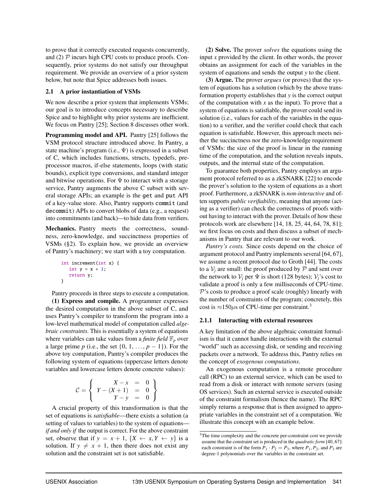to prove that it correctly executed requests concurrently, and (2)  $\mathcal P$  incurs high CPU costs to produce proofs. Consequently, prior systems do not satisfy our throughput requirement. We provide an overview of a prior system below, but note that Spice addresses both issues.

## <span id="page-3-0"></span>2.1 A prior instantiation of VSMs

We now describe a prior system that implements VSMs; our goal is to introduce concepts necessary to describe Spice and to highlight why prior systems are inefficient. We focus on Pantry [\[25\]](#page-16-0); Section [8](#page-14-1) discusses other work.

Programming model and API. Pantry [\[25\]](#page-16-0) follows the VSM protocol structure introduced above. In Pantry, a state machine's program (i.e.,  $\Psi$ ) is expressed in a subset of C, which includes functions, structs, typedefs, preprocessor macros, if-else statements, loops (with static bounds), explicit type conversions, and standard integer and bitwise operations. For  $\Psi$  to interact with a storage service, Pantry augments the above C subset with several storage APIs; an example is the get and put API of a key-value store. Also, Pantry supports commit (and decommit) APIs to convert blobs of data (e.g., a request) into commitments (and back)—to hide data from verifiers.

Mechanics. Pantry meets the correctness, soundness, zero-knowledge, and succinctness properties of VSMs ([§2\)](#page-2-1). To explain how, we provide an overview of Pantry's machinery; we start with a toy computation.

```
int increment(int x) {
  int y = x + 1;
  return y;
}
```
Pantry proceeds in three steps to execute a computation.

(1) Express and compile. A programmer expresses the desired computation in the above subset of C, and uses Pantry's compiler to transform the program into a low-level mathematical model of computation called *algebraic constraints*. This is essentially a system of equations where variables can take values from a *finite field*  $\mathbb{F}_p$  over a large prime *p* (i.e., the set  $\{0, 1, \ldots, p-1\}$ ). For the above toy computation, Pantry's compiler produces the following system of equations (uppercase letters denote variables and lowercase letters denote concrete values):

$$
C = \left\{ \begin{array}{rcl} X - x & = & 0 \\ Y - (X + 1) & = & 0 \\ Y - y & = & 0 \end{array} \right\}
$$

A crucial property of this transformation is that the set of equations is *satisfiable*—there exists a solution (a setting of values to variables) to the system of equations *if and only if* the output is correct. For the above constraint set, observe that if  $y = x + 1$ ,  $\{X \leftarrow x, Y \leftarrow y\}$  is a solution. If  $y \neq x + 1$ , then there does not exist any solution and the constraint set is not satisfiable.

(2) Solve. The prover *solves* the equations using the input *x* provided by the client. In other words, the prover obtains an assignment for each of the variables in the system of equations and sends the output *y* to the client.

(3) Argue. The prover *argues* (or proves) that the system of equations has a solution (which by the above transformation property establishes that *y* is the correct output of the computation with *x* as the input). To prove that a system of equations is satisfiable, the prover could send its solution (i.e., values for each of the variables in the equation) to a verifier, and the verifier could check that each equation is satisfiable. However, this approach meets neither the succinctness nor the zero-knowledge requirement of VSMs: the size of the proof is linear in the running time of the computation, and the solution reveals inputs, outputs, and the internal state of the computation.

To guarantee both properties, Pantry employs an argument protocol referred to as a zkSNARK [\[22\]](#page-16-13) to encode the prover's solution to the system of equations as a short proof. Furthermore, a zkSNARK is *non-interactive* and often supports *public verifiability*, meaning that anyone (acting as a verifier) can check the correctness of proofs without having to interact with the prover. Details of how these protocols work are elsewhere [\[14,](#page-16-7) [18,](#page-16-8) [25,](#page-16-0) [44,](#page-17-19) [64,](#page-18-4) [78,](#page-18-15) [81\]](#page-18-16); we first focus on costs and then discuss a subset of mechanisms in Pantry that are relevant to our work.

*Pantry's costs.* Since costs depend on the choice of argument protocol and Pantry implements several [\[64,](#page-18-4) [67\]](#page-18-17), we assume a recent protocol due to Groth [\[44\]](#page-17-19). The costs to a  $V_i$  are small: the proof produced by  $P$  and sent over the network to  $V_i$  per  $\Psi$  is short (128 bytes);  $V_i$ 's cost to validate a proof is only a few milliseconds of CPU-time.  $P$ 's costs to produce a proof scale (roughly) linearly with the number of constraints of the program; concretely, this cost is  $\approx$ 150 $\mu$ s of CPU-time per constraint.<sup>3</sup>

# 2.1.1 Interacting with external resources

A key limitation of the above algebraic constraint formalism is that it cannot handle interactions with the external "world" such as accessing disk, or sending and receiving packets over a network. To address this, Pantry relies on the concept of *exogenous computations*.

An exogenous computation is a remote procedure call (RPC) to an external service, which can be used to read from a disk or interact with remote servers (using OS services). Such an external service is executed outside of the constraint formalism (hence the name). The RPC simply returns a response that is then assigned to appropriate variables in the constraint set of a computation. We illustrate this concept with an example below.

<sup>3</sup>The time complexity and the concrete per-constraint cost we provide assume that the constraint set is produced in the *quadratic form* [\[40,](#page-17-5) [67\]](#page-18-17): each constraint is of the form  $P_1 \cdot P_2 = P_3$ , where  $P_1$ ,  $P_2$ , and  $P_3$  are degree-1 polynomials over the variables in the constraint set.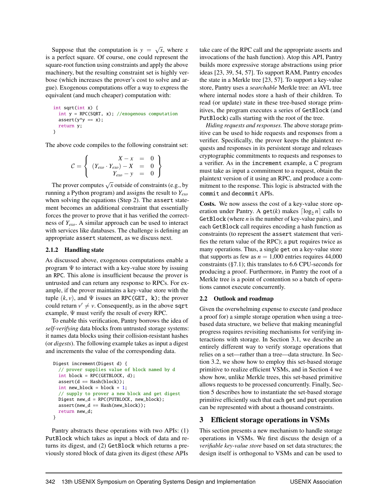Suppose that the computation is  $y = \sqrt{x}$ , where *x* is a perfect square. Of course, one could represent the square-root function using constraints and apply the above machinery, but the resulting constraint set is highly verbose (which increases the prover's cost to solve and argue). Exogenous computations offer a way to express the equivalent (and much cheaper) computation with:

```
int sqrt(int x) {
  int y = RPC(SQRT, x); //exogenous computation
  assert(y*y == x);return y;
}
```
The above code compiles to the following constraint set:

$$
\mathcal{C} = \left\{ \begin{array}{rcl} X - x & = & 0 \\ (Y_{exo} \cdot Y_{exo}) - X & = & 0 \\ Y_{exo} - y & = & 0 \end{array} \right\}
$$

The prover computes  $\sqrt{x}$  outside of constraints (e.g., by running a Python program) and assigns the result to *Yexo* when solving the equations (Step 2). The assert statement becomes an additional constraint that essentially forces the prover to prove that it has verified the correctness of *Yexo*. A similar approach can be used to interact with services like databases. The challenge is defining an appropriate assert statement, as we discuss next.

## <span id="page-4-1"></span>2.1.2 Handling state

As discussed above, exogenous computations enable a program  $\Psi$  to interact with a key-value store by issuing an RPC. This alone is insufficient because the prover is untrusted and can return any response to RPCs. For example, if the prover maintains a key-value store with the tuple  $(k, v)$ , and  $\Psi$  issues an RPC(GET, k); the prover could return  $v' \neq v$ . Consequently, as in the above sqrt example, Ψ must verify the result of every RPC.

To enable this verification, Pantry borrows the idea of *self-verifying* data blocks from untrusted storage systems: it names data blocks using their collision-resistant hashes (or *digests*). The following example takes as input a digest and increments the value of the corresponding data.

```
Digest increment(Digest d) {
  // prover supplies value of block named by d
  int block = RPC(GETBLOCK, d);
  assert(d == Hash(block));int new_block = block + 1;
  // supply to prover a new block and get digest
  Digest new_d = RPC(PUTBLOCK, new_block);
  assert(new_d == Hash(new_block));return new_d;
}
```
Pantry abstracts these operations with two APIs: (1) PutBlock which takes as input a block of data and returns its digest, and (2) GetBlock which returns a previously stored block of data given its digest (these APIs

take care of the RPC call and the appropriate asserts and invocations of the hash function). Atop this API, Pantry builds more expressive storage abstractions using prior ideas [\[23,](#page-16-11) [39,](#page-17-20) [54,](#page-17-21) [57\]](#page-17-22). To support RAM, Pantry encodes the state in a Merkle tree [\[23,](#page-16-11) [57\]](#page-17-22). To support a key-value store, Pantry uses a *searchable* Merkle tree: an AVL tree where internal nodes store a hash of their children. To read (or update) state in these tree-based storage primitives, the program executes a series of GetBlock (and PutBlock) calls starting with the root of the tree.

*Hiding requests and responses.* The above storage primitive can be used to hide requests and responses from a verifier. Specifically, the prover keeps the plaintext requests and responses in its persistent storage and releases cryptographic commitments to requests and responses to a verifier. As in the increment example, a C program must take as input a commitment to a request, obtain the plaintext version of it using an RPC, and produce a commitment to the response. This logic is abstracted with the commit and decommit APIs.

Costs. We now assess the cost of a key-value store operation under Pantry. A get(*k*) makes  $\lceil \log_2 n \rceil$  calls to GetBlock (where *n* is the number of key-value pairs), and each GetBlock call requires encoding a hash function as constraints (to represent the assert statement that verifies the return value of the RPC); a put requires twice as many operations. Thus, a single get on a key-value store that supports as few as  $n = 1,000$  entries requires 44,000 constraints ([§7.1\)](#page-12-1); this translates to 6.6 CPU-seconds for producing a proof. Furthermore, in Pantry the root of a Merkle tree is a point of contention so a batch of operations cannot execute concurrently.

#### 2.2 Outlook and roadmap

Given the overwhelming expense to execute (and produce a proof for) a simple storage operation when using a treebased data structure, we believe that making meaningful progress requires revisiting mechanisms for verifying interactions with storage. In Section [3.1,](#page-5-0) we describe an entirely different way to verify storage operations that relies on a set—rather than a tree—data structure. In Section [3.2,](#page-7-0) we show how to employ this set-based storage primitive to realize efficient VSMs, and in Section [4](#page-8-0) we show how, unlike Merkle trees, this set-based primitive allows requests to be processed concurrently. Finally, Section [5](#page-10-0) describes how to instantiate the set-based storage primitive efficiently such that each get and put operation can be represented with about a thousand constraints.

# <span id="page-4-0"></span>3 Efficient storage operations in VSMs

This section presents a new mechanism to handle storage operations in VSMs. We first discuss the design of a *verifiable key-value store* based on set data structures; the design itself is orthogonal to VSMs and can be used to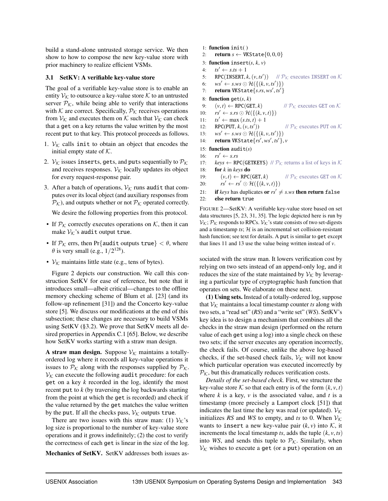build a stand-alone untrusted storage service. We then show to how to compose the new key-value store with prior machinery to realize efficient VSMs.

## <span id="page-5-0"></span>3.1 SetKV: A verifiable key-value store

The goal of a verifiable key-value store is to enable an entity  $V_K$  to outsource a key-value store K to an untrusted server  $P_K$ , while being able to verify that interactions with  $K$  are correct. Specifically,  $P_K$  receives operations from  $V_K$  and executes them on K such that  $V_K$  can check that a get on a key returns the value written by the most recent put to that key. This protocol proceeds as follows.

- 1.  $V_K$  calls init to obtain an object that encodes the initial empty state of  $K$ .
- 2.  $V_K$  issues inserts, gets, and puts sequentially to  $\mathcal{P}_K$ and receives responses.  $V_K$  locally updates its object for every request-response pair.
- 3. After a batch of operations,  $V_K$  runs audit that computes over its local object (and auxiliary responses from  $\mathcal{P}_\mathcal{K}$ ), and outputs whether or not  $\mathcal{P}_\mathcal{K}$  operated correctly.

We desire the following properties from this protocol.

- If  $P_K$  correctly executes operations on K, then it can make  $V_K$ 's audit output true.
- If  $P_K$  errs, then Pr{audit outputs true}  $< \theta$ , where  $\theta$  is very small (e.g.,  $1/2^{128}$ ).
- $V_K$  maintains little state (e.g., tens of bytes).

Figure [2](#page-5-1) depicts our construction. We call this construction SetKV for ease of reference, but note that it introduces small—albeit critical—changes to the offline memory checking scheme of Blum et al. [\[23\]](#page-16-11) (and its follow-up refinement [\[31\]](#page-17-17)) and the Concerto key-value store [\[5\]](#page-16-10). We discuss our modifications at the end of this subsection; these changes are necessary to build VSMs using SetKV ([§3.2\)](#page-7-0). We prove that SetKV meets all desired properties in Appendix C.1 [\[65\]](#page-18-18). Below, we describe how SetKV works starting with a straw man design.

A straw man design. Suppose  $V_K$  maintains a totallyordered log where it records all key-value operations it issues to  $P_K$  along with the responses supplied by  $P_K$ .  $V_K$  can execute the following audit procedure: for each get on a key *k* recorded in the log, identify the most recent put to *k* (by traversing the log backwards starting from the point at which the get is recorded) and check if the value returned by the get matches the value written by the put. If all the checks pass,  $V_K$  outputs true.

There are two issues with this straw man: (1)  $V_K$ 's log size is proportional to the number of key-value store operations and it grows indefinitely; (2) the cost to verify the correctness of each get is linear in the size of the log.

Mechanics of SetKV. SetKV addresses both issues as-

- <span id="page-5-1"></span>1: function init( )
- 2: **return**  $s \leftarrow \text{VKState}\{0, 0, 0\}$
- 3: **function** insert( $s, k, v$ )
- 4:  $ts' \leftarrow s.ts + 1$
- 5: RPC(INSERT,  $k$ ,  $(v, ts')$ ) //  $\mathcal{P}_{\mathcal{K}}$  executes INSERT on  $\mathcal{K}$
- 6:  $ws' \leftarrow s.ws \odot \mathcal{H}(\{(k, v, ts')\})$
- 7: return VKState{*s*.*rs*, *ws*′ , *ts*′ }

### 8: **function**  $\text{get}(s, k)$

```
9: (v, t) \leftarrow \text{RPC}(\text{GET}, k) // \mathcal{P}_\mathcal{K} executes GET on \mathcal{K}
```
//  $P_K$  executes PUT on  $K$ 

- 10:  $rs' \leftarrow s.rs \odot \mathcal{H}(\{(k, v, t)\})$
- 11:  $ts' \leftarrow \max(s.ts, t s, t) + 1$
- 12: RPC(PUT,  $k, (v, ts')$ )
- 13:  $ws' \leftarrow s.ws \odot \mathcal{H}(\{(k, v, ts')\})$
- 14: return VKState{*rs*′ , *ws*′ , *ts*′ }, *v*
- 15: **function** audit( $s$ )
- 16:  $rs' \leftarrow s.rs$
- 17: *keys*  $\leftarrow$  RPC(GETKEYS) //  $\mathcal{P}_{\mathcal{K}}$  returns a list of keys in  $\mathcal{K}$
- 18: for *k* in *keys* do
- 19:  $(v, t) \leftarrow \text{RPC}(\text{GET}, k)$  //  $\mathcal{P}_\mathcal{K}$  executes GET on  $\mathcal{K}$ 20:  $rs' \leftarrow rs' \odot \mathcal{H}(\{(k, v, t)\})$
- 21: **if** *keys* has duplicates **or**  $rs' \neq s.ws$  **then return false** 22: else return true

FIGURE 2—SetKV: A verifiable key-value store based on set data structures [\[5,](#page-16-10) [23,](#page-16-11) [31,](#page-17-17) [35\]](#page-17-18). The logic depicted here is run by  $V_K$ ;  $P_K$  responds to RPCs.  $V_K$ 's state consists of two set-digests and a timestamp  $ts$ ;  $H$  is an incremental set collision-resistant hash function; see text for details. A put is similar to get except that lines [11](#page-5-1) and [13](#page-5-1) use the value being written instead of *v*.

sociated with the straw man. It lowers verification cost by relying on two sets instead of an append-only log, and it reduces the size of the state maintained by  $\mathcal{V}_{\mathcal{K}}$  by leveraging a particular type of cryptographic hash function that operates on sets. We elaborate on these next.

(1) Using sets. Instead of a totally-ordered log, suppose that  $V_K$  maintains a local timestamp counter *ts* along with two sets, a "read set" (*RS*) and a "write set" (*WS*). SetKV's key idea is to design a mechanism that combines all the checks in the straw man design (performed on the return value of each get using a log) into a single check on these two sets; if the server executes any operation incorrectly, the check fails. Of course, unlike the above log-based checks, if the set-based check fails,  $V_K$  will not know which particular operation was executed incorrectly by  $\mathcal{P}_{\mathcal{K}}$ , but this dramatically reduces verification costs.

*Details of the set-based check.* First, we structure the key-value store K so that each entry is of the form  $(k, v, t)$ where  $k$  is a key,  $v$  is the associated value, and  $t$  is a timestamp (more precisely a Lamport clock [\[51\]](#page-17-23)) that indicates the last time the key was read (or updated).  $V_K$ initializes *RS* and *WS* to empty, and *ts* to 0. When  $V_K$ wants to insert a new key-value pair  $(k, v)$  into  $K$ , it increments the local timestamp *ts*, adds the tuple  $(k, v, ts)$ into *WS*, and sends this tuple to  $P_K$ . Similarly, when  $V_K$  wishes to execute a get (or a put) operation on an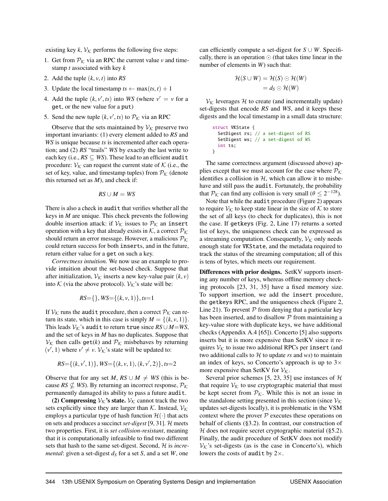existing key  $k$ ,  $V_K$  performs the following five steps:

- 1. Get from  $P_K$  via an RPC the current value *v* and timestamp *t* associated with key *k*
- 2. Add the tuple (*k*, *v*, *t*) into *RS*
- 3. Update the local timestamp  $ts \leftarrow \max(ts, t) + 1$
- 4. Add the tuple  $(k, v', ts)$  into *WS* (where  $v' = v$  for a get, or the new value for a put)
- 5. Send the new tuple  $(k, v', ts)$  to  $P_K$  via an RPC

Observe that the sets maintained by  $V_K$  preserve two important invariants: (1) every element added to *RS* and *WS* is unique because *ts* is incremented after each operation; and (2) *RS* "trails" *WS* by exactly the last write to each key (i.e.,  $RS \subseteq WS$ ). These lead to an efficient audit procedure:  $V_K$  can request the current state of K (i.e., the set of key, value, and timestamp tuples) from  $P_K$  (denote this returned set as *M*), and check if:

$$
RS \cup M = WS
$$

There is also a check in audit that verifies whether all the keys in *M* are unique. This check prevents the following double insertion attack: if  $V_K$  issues to  $P_K$  an insert operation with a key that already exists in  $K$ , a correct  $\mathcal{P}_K$ should return an error message. However, a malicious  $P_K$ could return success for both inserts, and in the future, return either value for a get on such a key.

*Correctness intuition.* We now use an example to provide intuition about the set-based check. Suppose that after initialization,  $V_K$  inserts a new key-value pair  $(k, v)$ into K (via the above protocol).  $V_K$ 's state will be:

$$
RS = \{\}, WS = \{(k, v, 1)\}, ts = 1
$$

If  $V_K$  runs the audit procedure, then a correct  $P_K$  can return its state, which in this case is simply  $M = \{(k, v, 1)\}.$ This leads  $V_K$ 's audit to return true since  $RS \cup M = WS$ , and the set of keys in *M* has no duplicates. Suppose that  $V_K$  then calls get(*k*) and  $P_K$  misbehaves by returning  $(v', 1)$  where  $v' \neq v$ .  $V_{\mathcal{K}}$ 's state will be updated to:

RS=
$$
\{(k, v', 1)\}
$$
, WS= $\{(k, v, 1), (k, v', 2)\}$ ,  $ts=2$ 

Observe that for any set *M*,  $RS \cup M \neq WS$  (this is because *RS*  $\nsubseteq$  *WS*). By returning an incorrect response,  $P_K$ permanently damaged its ability to pass a future audit.

(2) Compressing  $V_K$ 's state.  $V_K$  cannot track the two sets explicitly since they are larger than  $K$ . Instead,  $V_K$ employs a particular type of hash function  $\mathcal{H}(\cdot)$  that acts on sets and produces a succinct *set-digest* [\[9,](#page-16-14) [31\]](#page-17-17). H meets two properties. First, it is *set collision-resistant*, meaning that it is computationally infeasible to find two different sets that hash to the same set-digest. Second, H is *incremental*: given a set-digest  $d<sub>S</sub>$  for a set *S*, and a set *W*, one can efficiently compute a set-digest for  $S \cup W$ . Specifically, there is an operation  $\odot$  (that takes time linear in the number of elements in *W*) such that:

$$
\mathcal{H}(S \cup W) = \mathcal{H}(S) \odot \mathcal{H}(W) = d_S \odot \mathcal{H}(W)
$$

 $V_K$  leverages H to create (and incrementally update) set-digests that encode *RS* and *WS*, and it keeps these digests and the local timestamp in a small data structure:

```
struct VKState {
  SetDigest rs; // a set-digest of RS
  SetDigest ws; // a set-digest of WS
  int ts;
}
```
The same correctness argument (discussed above) applies except that we must account for the case where  $P_K$ identifies a collision in  $H$ , which can allow it to misbehave and still pass the audit. Fortunately, the probability that  $P_K$  can find any collision is very small ( $\theta \le 2^{-128}$ ).

Note that while the audit procedure (Figure [2\)](#page-5-1) appears to require  $V_K$  to keep state linear in the size of K to store the set of all keys (to check for duplicates), this is not the case. If getkeys (Fig. [2,](#page-5-1) Line [17\)](#page-5-1) returns a sorted list of keys, the uniqueness check can be expressed as a streaming computation. Consequently,  $V_K$  only needs enough state for VKState, and the metadata required to track the status of the streaming computation; all of this is tens of bytes, which meets our requirement.

Differences with prior designs. SetKV supports inserting any number of keys, whereas offline memory checking protocols [\[23,](#page-16-11) [31,](#page-17-17) [35\]](#page-17-18) have a fixed memory size. To support insertion, we add the insert procedure, the getkeys RPC, and the uniqueness check (Figure [2,](#page-5-1) Line [21\)](#page-5-1). To prevent  $P$  from denying that a particular key has been inserted, and to disallow  $P$  from maintaining a key-value store with duplicate keys, we have additional checks (Appendix A.4 [\[65\]](#page-18-18)). Concerto [\[5\]](#page-16-10) also supports inserts but it is more expensive than SetKV since it requires  $V_K$  to issue two additional RPCs per insert (and two additional calls to  $H$  to update  $rs$  and  $ws$ ) to maintain an index of keys, so Concerto's approach is up to  $3\times$ more expensive than SetKV for  $V_K$ .

Several prior schemes [\[5,](#page-16-10) [23,](#page-16-11) [35\]](#page-17-18) use instances of  $H$ that require  $V_K$  to use cryptographic material that must be kept secret from  $P_K$ . While this is not an issue in the standalone setting presented in this section (since  $V_K$ ) updates set-digests locally), it is problematic in the VSM context where the prover  $P$  executes these operations on behalf of clients ([§3.2\)](#page-7-0). In contrast, our construction of  $H$  does not require secret cryptographic material ([§5.2\)](#page-10-1). Finally, the audit procedure of SetKV does not modify  $V_K$ 's set-digests (as is the case in Concerto's), which lowers the costs of audit by  $2\times$ .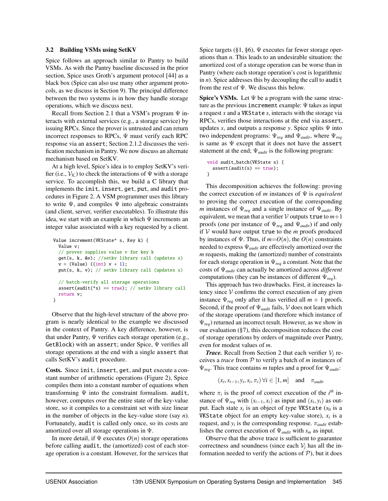#### <span id="page-7-0"></span>3.2 Building VSMs using SetKV

Spice follows an approach similar to Pantry to build VSMs. As with the Pantry baseline discussed in the prior section, Spice uses Groth's argument protocol [\[44\]](#page-17-19) as a black box (Spice can also use many other argument protocols, as we discuss in Section [9\)](#page-15-0). The principal difference between the two systems is in how they handle storage operations, which we discuss next.

Recall from Section [2.1](#page-3-0) that a VSM's program  $\Psi$  interacts with external services (e.g., a storage service) by issuing RPCs. Since the prover is untrusted and can return incorrect responses to RPCs,  $\Psi$  must verify each RPC response via an assert; Section [2.1.2](#page-4-1) discusses the verification mechanism in Pantry. We now discuss an alternate mechanism based on SetKV.

At a high level, Spice's idea is to employ SetKV's verifier (i.e.,  $V_K$ ) to check the interactions of  $\Psi$  with a storage service. To accomplish this, we build a C library that implements the init, insert, get, put, and audit procedures in Figure [2.](#page-5-1) A VSM programmer uses this library to write  $\Psi$ , and compiles  $\Psi$  into algebraic constraints (and client, server, verifier executables). To illustrate this idea, we start with an example in which  $\Psi$  increments an integer value associated with a key requested by a client.

```
Value increment(VKState* s, Key k) {
  Value v;
  // prover supplies value v for key k
  get(s, k, &v); //setkv library call (updates s)
  v = (Value) ((int) v + 1);put(s, k, v); // setkv library call (updates s)
  // batch-verify all storage operations
  assert(audit(*s) == true); // setkv library call
  return v;
}
```
Observe that the high-level structure of the above program is nearly identical to the example we discussed in the context of Pantry. A key difference, however, is that under Pantry, Ψ verifies each storage operation (e.g., GetBlock) with an assert; under Spice, Ψ verifies all storage operations at the end with a single assert that calls SetKV's audit procedure.

Costs. Since init, insert, get, and put execute a constant number of arithmetic operations (Figure [2\)](#page-5-1), Spice compiles them into a constant number of equations when transforming Ψ into the constraint formalism. audit, however, computes over the entire state of the key-value store, so it compiles to a constraint set with size linear in the number of objects in the key-value store (say *n*). Fortunately, audit is called only once, so its costs are amortized over all storage operations in Ψ.

In more detail, if  $\Psi$  executes  $O(n)$  storage operations before calling audit, the (amortized) cost of each storage operation is a constant. However, for the services that

Spice targets ([§1,](#page-1-0) [§6\)](#page-11-0), Ψ executes far fewer storage operations than *n*. This leads to an undesirable situation: the amortized cost of a storage operation can be worse than in Pantry (where each storage operation's cost is logarithmic in *n*). Spice addresses this by decoupling the call to audit from the rest of Ψ. We discuss this below.

**Spice's VSMs.** Let  $\Psi$  be a program with the same structure as the previous increment example: Ψ takes as input a request *x* and a VKState *s*, interacts with the storage via RPCs, verifies those interactions at the end via assert, updates *s*, and outputs a response *y*. Spice splits Ψ into two independent programs: Ψ*req* and Ψ*audit*, where Ψ*req* is same as  $\Psi$  except that it does not have the assert statement at the end; Ψ*audit* is the following program:

```
void audit_batch(VKState s) {
  assert(audit(s) == true);}
```
This decomposition achieves the following: proving the correct execution of *m* instances of Ψ is *equivalent* to proving the correct execution of the corresponding *m* instances of Ψ*req* and a single instance of Ψ*audit*. By equivalent, we mean that a verifier  $\mathcal V$  outputs true to  $m+1$ proofs (one per instance of Ψ*req* and Ψ*audit*) if and only if  $V$  would have output true to the  $m$  proofs produced by instances of  $\Psi$ . Thus, if  $m = O(n)$ , the  $O(n)$  constraints needed to express Ψ*audit* are effectively amortized over the *m* requests, making the (amortized) number of constraints for each storage operation in Ψ*req* a constant. Note that the costs of Ψ*audit* can actually be amortized across *different* computations (they can be instances of different Ψ*req*).

This approach has two drawbacks. First, it increases latency since  $V$  confirms the correct execution of any given instance  $\Psi_{\text{req}}$  only after it has verified all  $m + 1$  proofs. Second, if the proof of Ψ*audit* fails, V does not learn which of the storage operations (and therefore which instance of Ψ*req*) returned an incorrect result. However, as we show in our evaluation ([§7\)](#page-12-0), this decomposition reduces the cost of storage operations by orders of magnitude over Pantry, even for modest values of *m*.

*Trace.* Recall from Section [2](#page-2-1) that each verifier  $V_i$  receives a *trace* from P to verify a batch of *m* instances of Ψ*req*. This trace contains *m* tuples and a proof for Ψ*audit*:

$$
(x_i, s_{i-1}, y_i, s_i, \pi_i) \,\forall i \in [1, m] \text{ and } \pi_{\text{audit}}
$$

where  $\pi_i$  is the proof of correct execution of the *i*<sup>th</sup> instance of  $\Psi_{req}$  with  $(s_{i-1}, x_i)$  as input and  $(s_i, y_i)$  as output. Each state  $s_i$  is an object of type VKState ( $s_0$  is a VKState object for an empty key-value store), *x<sup>i</sup>* is a request, and  $y_i$  is the corresponding response.  $\pi_{audit}$  establishes the correct execution of Ψ*audit* with *s<sup>m</sup>* as input.

Observe that the above trace is sufficient to guarantee correctness and soundness (since each  $V_i$  has all the information needed to verify the actions of  $P$ ), but it does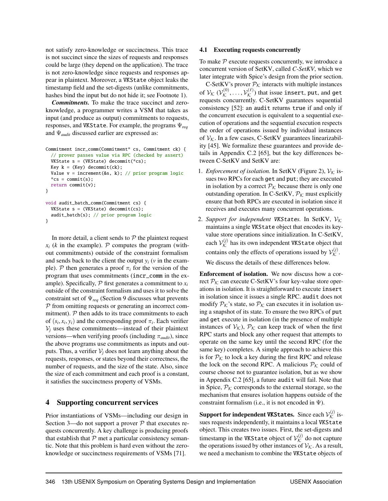not satisfy zero-knowledge or succinctness. This trace is not succinct since the sizes of requests and responses could be large (they depend on the application). The trace is not zero-knowledge since requests and responses appear in plaintext. Moreover, a VKState object leaks the timestamp field and the set-digests (unlike commitments, hashes bind the input but do not hide it; see Footnote [1\)](#page-2-2).

*Commitments.* To make the trace succinct and zeroknowledge, a programmer writes a VSM that takes as input (and produce as output) commitments to requests, responses, and VKState. For example, the programs Ψ*req* and Ψ*audit* discussed earlier are expressed as:

```
Commitment incr_comm(Commitment* cs, Commitment ck) {
  // prover passes value via RPC (checked by assert)
  VKState s = (VKState) decommit(*cs);
  Key k = (Key) decommit(ck);Value v = increment(\&s, k); // prior program logic*cs = commit(s):
  return commit(v);
}
void audit_batch_comm(Commitment cs) {
  VKState s = (VKState) decommit(cs);audit_batch(s); // prior program logic
}
```
In more detail, a client sends to  $P$  the plaintext request  $x_i$  (*k* in the example). P computes the program (without commitments) outside of the constraint formalism and sends back to the client the output  $y_i$  ( $v$  in the example). P then generates a proof  $\pi_i$  for the version of the program that uses commitments (incr\_comm in the example). Specifically,  $P$  first generates a commitment to  $x_i$ outside of the constraint formalism and uses it to solve the constraint set of Ψ*req* (Section [9](#page-15-0) discusses what prevents P from omitting requests or generating an incorrect commitment).  $P$  then adds to its trace commitments to each of  $(s_i, x_i, y_i)$  and the corresponding proof  $\pi_i$ . Each verifier  $V_i$  uses these commitments—instead of their plaintext versions—when verifying proofs (including  $\pi_{\text{audit}}$ ), since the above programs use commitments as inputs and outputs. Thus, a verifier  $V_i$  does not learn anything about the requests, responses, or states beyond their correctness, the number of requests, and the size of the state. Also, since the size of each commitment and each proof is a constant, it satisfies the succinctness property of VSMs.

# <span id="page-8-0"></span>4 Supporting concurrent services

Prior instantiations of VSMs—including our design in Section [3—](#page-4-0)do not support a prover  $P$  that executes requests concurrently. A key challenge is producing proofs that establish that  $P$  met a particular consistency semantic. Note that this problem is hard even without the zeroknowledge or succinctness requirements of VSMs [\[71\]](#page-18-19).

# <span id="page-8-1"></span>4.1 Executing requests concurrently

To make  $P$  execute requests concurrently, we introduce a concurrent version of SetKV, called *C-SetKV*, which we later integrate with Spice's design from the prior section.

C-SetKV's prover  $P_K$  interacts with multiple instances of  $\mathcal{V}_{\mathcal{K}}$   $(\mathcal{V}_{\mathcal{K}}^{(0)}, \ldots, \mathcal{V}_{\mathcal{K}}^{(\ell)})$  that issue <code>insert</code>, put, and <code>get</code> requests concurrently. C-SetKV guarantees sequential consistency [\[52\]](#page-17-15): an audit returns true if and only if the concurrent execution is equivalent to a sequential execution of operations and the sequential execution respects the order of operations issued by individual instances of  $V_K$ . In a few cases, C-SetKV guarantees linearizability [\[45\]](#page-17-16). We formalize these guarantees and provide details in Appendix C.2 [\[65\]](#page-18-18), but the key differences between C-SetKV and SetKV are:

- 1. *Enforcement of isolation*. In SetKV (Figure [2\)](#page-5-1),  $V_K$  issues two RPCs for each get and put; they are executed in isolation by a correct  $P_K$  because there is only one outstanding operation. In C-SetKV,  $\mathcal{P}_{\mathcal{K}}$  must explicitly ensure that both RPCs are executed in isolation since it receives and executes many concurrent operations.
- 2. Support for independent VKStates. In SetKV,  $V_K$ maintains a single VKState object that encodes its keyvalue store operations since initialization. In C-SetKV, each  $\mathcal{V}_{\mathcal{K}}^{(j)}$  has its own independent <code>VKState</code> object that contains only the effects of operations issued by  $\mathcal{V}_{\mathcal{K}}^{(j)}$ .

We discuss the details of these differences below.

Enforcement of isolation. We now discuss how a correct  $P_K$  can execute C-SetKV's four key-value store operations in isolation. It is straightforward to execute insert in isolation since it issues a single RPC. audit does not modify  $P_K$ 's state, so  $P_K$  can executes it in isolation using a snapshot of its state. To ensure the two RPCs of put and get execute in isolation (in the presence of multiple instances of  $V_K$ ),  $\mathcal{P}_K$  can keep track of when the first RPC starts and block any other request that attempts to operate on the same key until the second RPC (for the same key) completes. A simple approach to achieve this is for  $P_K$  to lock a key during the first RPC and release the lock on the second RPC. A malicious  $\mathcal{P}_\mathcal{K}$  could of course choose not to guarantee isolation, but as we show in Appendix C.2 [\[65\]](#page-18-18), a future audit will fail. Note that in Spice,  $P_K$  corresponds to the external storage, so the mechanism that ensures isolation happens outside of the constraint formalism (i.e., it is not encoded in  $\Psi$ ).

 ${\bf Support \ for \ independent \ UK States.}$  Since each  $\mathcal{V}_{\mathcal{K}}^{(j)}$  issues requests independently, it maintains a local VKState object. This creates two issues. First, the set-digests and timestamp in the VKState object of  $\mathcal{V}_{\mathcal{K}}^{(j)}$  do not capture the operations issued by other instances of  $\mathcal{V}_{\mathcal{K}}$ . As a result, we need a mechanism to combine the VKState objects of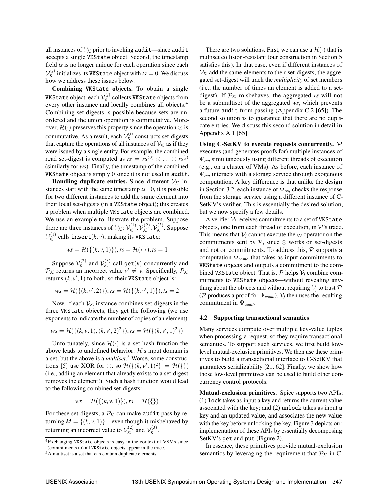all instances of  $V_K$  prior to invoking audit—since audit accepts a single VKState object. Second, the timestamp field *ts* is no longer unique for each operation since each  $\mathcal{V}_{\mathcal{K}}^{(j)}$  initializes its <code>VKState</code> object with  $\mathit{ts}=0.$  We discuss how we address these issues below.

Combining VKState objects. To obtain a single <code>VKState</code> object, each  $\mathcal{V}_{\mathcal{K}}^{(j)}$  collects <code>VKState</code> objects from every other instance and locally combines all objects.<sup>4</sup> Combining set-digests is possible because sets are unordered and the union operation is commutative. Moreover,  $\mathcal{H}(\cdot)$  preserves this property since the operation  $\odot$  is commutative. As a result, each  $\mathcal{V}_{\mathcal{K}}^{(j)}$  constructs set-digests that capture the operations of all instances of  $\mathcal{V}_\mathcal{K}$  as if they were issued by a single entity. For example, the combined read set-digest is computed as  $rs = rs^{(0)} \odot \ldots \odot rs^{(j)}$ (similarly for *ws*). Finally, the timestamp of the combined VKState object is simply 0 since it is not used in audit.

**Handling duplicate entries.** Since different  $V_K$  instances start with the same timestamp *ts*=0, it is possible for two different instances to add the same element into their local set-digests (in a VKState object); this creates a problem when multiple VKState objects are combined. We use an example to illustrate the problem. Suppose there are three instances of  $\mathcal{V}_{\mathcal{K}}: \mathcal{V}_{\mathcal{K}}^{(1)}, \mathcal{V}_{\mathcal{K}}^{(2)}, \mathcal{V}_{\mathcal{K}}^{(3)}$ . Suppose  $\mathcal{V}_{\mathcal{K}}^{(1)}$  calls  $\mathtt{insert}(k,v),$  making its <code>VKState:</code>

$$
ws = \mathcal{H}(\{(k, v, 1)\}), rs = \mathcal{H}(\{\}), ts = 1
$$

Suppose  $\mathcal{V}_{\mathcal{K}}^{(2)}$  and  $\mathcal{V}_{\mathcal{K}}^{(3)}$  call  $\mathsf{get}(k)$  concurrently and  $P_K$  returns an incorrect value  $v' \neq v$ . Specifically,  $P_K$ returns  $(k, v', 1)$  to both, so their VKState object is:

$$
ws = \mathcal{H}(\{(k, v', 2)\}), rs = \mathcal{H}(\{(k, v', 1)\}), ts = 2
$$

Now, if each  $V_K$  instance combines set-digests in the three VKState objects, they get the following (we use exponents to indicate the number of copies of an element):

$$
ws = \mathcal{H}(\{(k, v, 1), (k, v', 2)^2\}), rs = \mathcal{H}(\{(k, v', 1)^2\})
$$

Unfortunately, since  $\mathcal{H}(\cdot)$  is a set hash function the above leads to undefined behavior:  $\mathcal{H}$ 's input domain is a set, but the above is a *multiset*. <sup>5</sup> Worse, some construc-tions [\[5\]](#page-16-10) use XOR for  $\odot$ , so  $\mathcal{H}(\{(k, v', 1)^2\} = \mathcal{H}(\{\})$ (i.e., adding an element that already exists to a set-digest removes the element!). Such a hash function would lead to the following combined set-digests:

$$
ws = \mathcal{H}(\{(k, v, 1)\}), rs = \mathcal{H}(\{\})
$$

For these set-digests, a  $P_K$  can make audit pass by returning  $M = \{(k, v, 1)\}$ —even though it misbehaved by returning an incorrect value to  $\mathcal{V}_{\mathcal{K}}^{(2)}$  and  $\mathcal{V}_{\mathcal{K}}^{(3)}$ .

There are two solutions. First, we can use a  $\mathcal{H}(\cdot)$  that is multiset collision-resistant (our construction in Section [5](#page-10-0) satisfies this). In that case, even if different instances of  $V_K$  add the same elements to their set-digests, the aggregated set-digest will track the *multiplicity* of set members (i.e., the number of times an element is added to a setdigest). If  $\mathcal{P}_\mathcal{K}$  misbehaves, the aggregated *rs* will not be a submultiset of the aggregated *ws*, which prevents a future audit from passing (Appendix C.2 [\[65\]](#page-18-18)). The second solution is to guarantee that there are no duplicate entries. We discuss this second solution in detail in Appendix A.1 [\[65\]](#page-18-18).

Using C-SetKV to execute requests concurrently.  $P$ executes (and generates proofs for) multiple instances of Ψ*req* simultaneously using different threads of execution (e.g., on a cluster of VMs). As before, each instance of Ψ*req* interacts with a storage service through exogenous computation. A key difference is that unlike the design in Section [3.2,](#page-7-0) each instance of Ψ*req* checks the response from the storage service using a different instance of C-SetKV's verifier. This is essentially the desired solution, but we now specify a few details.

A verifier  $V_i$  receives commitments to a set of VKState objects, one from each thread of execution, in  $\mathcal{P}'$ 's trace. This means that  $V_i$  cannot execute the  $\odot$  operator on the commitments sent by  $P$ , since  $\odot$  works on set-digests and not on commitments. To address this,  $P$  supports a computation Ψ*comb* that takes as input commitments to VKState objects and outputs a commitment to the combined VKState object. That is,  $P$  helps  $V_i$  combine commitments to VKState objects—without revealing anything about the objects and without requiring  $\mathcal{V}_j$  to trust  $\mathcal P$ (P produces a proof for  $\Psi_{comb}$ ).  $V_j$  then uses the resulting commitment in Ψ*audit*.

### 4.2 Supporting transactional semantics

Many services compute over multiple key-value tuples when processing a request, so they require transactional semantics. To support such services, we first build lowlevel mutual-exclusion primitives. We then use these primitives to build a transactional interface to C-SetKV that guarantees serializability [\[21,](#page-16-9) [62\]](#page-18-14). Finally, we show how those low-level primitives can be used to build other concurrency control protocols.

Mutual-exclusion primitives. Spice supports two APIs: (1) lock takes as input a key and returns the current value associated with the key; and (2) unlock takes as input a key and an updated value, and associates the new value with the key before unlocking the key. Figure [3](#page-10-2) depicts our implementation of these APIs by essentially decomposing SetKV's get and put (Figure [2\)](#page-5-1).

In essence, these primitives provide mutual-exclusion semantics by leveraging the requirement that  $P_K$  in C-

<sup>4</sup>Exchanging VKState objects is easy in the context of VSMs since (commitments to) all VKState objects appear in the trace.

<sup>5</sup>A multiset is a set that can contain duplicate elements.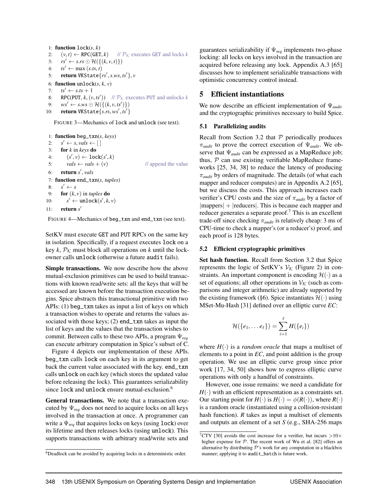<span id="page-10-2"></span>1: **function**  $lock(s, k)$ 2:  $(v, t) \leftarrow \text{RPC}(\text{GET}, k)$  //  $\mathcal{P}_\mathcal{K}$  executes GET and locks *k* 3:  $rs' \leftarrow s.rs \odot \mathcal{H}(\{(k, v, t)\})$ 4:  $ts' \leftarrow \max(s.ts, t)$ 5: return VKState{*rs*′ ,*s*.*ws*, *ts*′ }, *v* 6: **function** unlock $(s, k, v)$ 7:  $ts' \leftarrow s.ts + 1$ 8: RPC(PUT,  $k$ ,  $(v, ts')$ ) //  $\mathcal{P}_\mathcal{K}$  executes PUT and unlocks  $k$ 

9: *ws'* ← *s.ws* ⊙  $\mathcal{H}(\{(k, v, ts')\})$ 

```
10: return VKState{s.rs, ws′
, ts′
}
```
FIGURE 3—Mechanics of lock and unlock (see text).

<span id="page-10-3"></span>1: function beg\_txn(*s*, *keys*) 2:  $s' \leftarrow s, \text{vals} \leftarrow [$ 3: for *k* in *keys* do 4:  $(s', v) \leftarrow \texttt{lock}(s', k)$ 5:  $vals \leftarrow vals + (v)$  // append the value 6: return *s* ′ , *vals* 7: function end\_txn(*s*, *tuples*) 8: *s*  $s' \leftarrow s$ 9: **for**  $(k, v)$  in *tuples* **do**  $10<sup>5</sup>$  $y' \leftarrow \text{unlock}(s', k, v)$ 11: return *s* ′

FIGURE 4—Mechanics of beg\_txn and end\_txn (see text).

SetKV must execute GET and PUT RPCs on the same key in isolation. Specifically, if a request executes lock on a key  $k$ ,  $P_K$  must block all operations on  $k$  until the lockowner calls unlock (otherwise a future audit fails).

Simple transactions. We now describe how the above mutual-exclusion primitives can be used to build transactions with known read/write sets: all the keys that will be accessed are known before the transaction execution begins. Spice abstracts this transactional primitive with two APIs: (1) beg\_txn takes as input a list of keys on which a transaction wishes to operate and returns the values associated with those keys; (2) end\_txn takes as input the list of keys and the values that the transaction wishes to commit. Between calls to these two APIs, a program Ψ*req* can execute arbitrary computation in Spice's subset of C.

Figure [4](#page-10-3) depicts our implementation of these APIs. beg\_txn calls lock on each key in its argument to get back the current value associated with the key. end\_txn calls unlock on each key (which stores the updated value before releasing the lock). This guarantees serializability since lock and unlock ensure mutual-exclusion.<sup>6</sup>

General transactions. We note that a transaction executed by  $\Psi_{\text{rea}}$  does not need to acquire locks on all keys involved in the transaction at once. A programmer can write a Ψ*req* that acquires locks on keys (using lock) over its lifetime and then releases locks (using unlock). This supports transactions with arbitrary read/write sets and

guarantees serializability if Ψ*req* implements two-phase locking: all locks on keys involved in the transaction are acquired before releasing any lock. Appendix A.3 [\[65\]](#page-18-18) discusses how to implement serializable transactions with optimistic concurrency control instead.

# <span id="page-10-0"></span>5 Efficient instantiations

We now describe an efficient implementation of Ψ*audit* and the cryptographic primitives necessary to build Spice.

## <span id="page-10-4"></span>5.1 Parallelizing audits

Recall from Section [3.2](#page-7-0) that  $P$  periodically produces π*audit* to prove the correct execution of Ψ*audit*. We observe that Ψ*audit* can be expressed as a MapReduce job; thus,  $P$  can use existing verifiable MapReduce frameworks [\[25,](#page-16-0) [34,](#page-17-0) [38\]](#page-17-13) to reduce the latency of producing π*audit* by orders of magnitude. The details (of what each mapper and reducer computes) are in Appendix A.2 [\[65\]](#page-18-18), but we discuss the costs. This approach increases each verifier's CPU costs and the size of π*audit* by a factor of |mappers| + |reducers|. This is because each mapper and reducer generates a separate proof.<sup>7</sup> This is an excellent trade-off since checking π*audit* is relatively cheap: 3 ms of CPU-time to check a mapper's (or a reducer's) proof, and each proof is 128 bytes.

## <span id="page-10-1"></span>5.2 Efficient cryptographic primitives

Set hash function. Recall from Section [3.2](#page-7-0) that Spice represents the logic of SetKV's  $V_K$  (Figure [2\)](#page-5-1) in constraints. An important component is encoding  $\mathcal{H}(\cdot)$  as a set of equations; all other operations in  $V_K$  (such as comparisons and integer arithmetic) are already supported by the existing framework ([§6\)](#page-11-0). Spice instantiates  $\mathcal{H}(\cdot)$  using MSet-Mu-Hash [\[31\]](#page-17-17) defined over an elliptic curve *EC*:

$$
\mathcal{H}(\{e_1,\ldots e_\ell\})=\sum_{i=1}^\ell H(\{e_i\})
$$

where  $H(\cdot)$  is a *random oracle* that maps a multiset of elements to a point in *EC*, and point addition is the group operation. We use an elliptic curve group since prior work [\[17,](#page-16-15) [34,](#page-17-0) [50\]](#page-17-24) shows how to express elliptic curve operations with only a handful of constraints.

However, one issue remains: we need a candidate for  $H(\cdot)$  with an efficient representation as a constraints set. Our starting point for  $H(\cdot)$  is  $H(\cdot) = \phi(R(\cdot))$ , where  $R(\cdot)$ is a random oracle (instantiated using a collision-resistant hash function). *R* takes as input a multiset of elements and outputs an element of a set *S* (e.g., SHA-256 maps

<sup>6</sup>Deadlock can be avoided by acquiring locks in a deterministic order.

<sup>&</sup>lt;sup>7</sup>CTV [\[30\]](#page-17-1) avoids the cost increase for a verifier, but incurs  $>$ 10 $\times$ higher expense for  $P$ . The recent work of Wu et al. [\[82\]](#page-18-12) offers an alternative by distributing  $P$ 's work for any computation in a blackbox manner; applying it to audit\_batch is future work.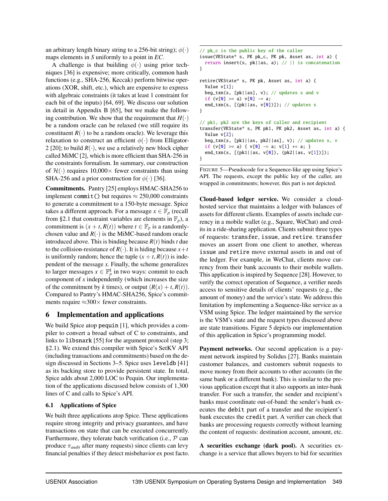an arbitrary length binary string to a 256-bit string);  $\phi(\cdot)$ maps elements in *S* uniformly to a point in *EC*.

A challenge is that building  $\phi(\cdot)$  using prior techniques [\[36\]](#page-17-25) is expensive; more critically, common hash functions (e.g., SHA-256, Keccak) perform bitwise operations (XOR, shift, etc.), which are expensive to express with algebraic constraints (it takes at least 1 constraint for each bit of the inputs) [\[64,](#page-18-4) [69\]](#page-18-20). We discuss our solution in detail in Appendix B [\[65\]](#page-18-18), but we make the following contribution. We show that the requirement that  $H(\cdot)$ be a random oracle can be relaxed (we still require its constituent  $R(\cdot)$  to be a random oracle). We leverage this relaxation to construct an efficient  $\phi(\cdot)$  from Elligator-2 [\[20\]](#page-16-16); to build  $R(\cdot)$ , we use a relatively new block cipher called MiMC [\[2\]](#page-16-17), which is more efficient than SHA-256 in the constraints formalism. In summary, our construction of  $\mathcal{H}(\cdot)$  requires 10,000 $\times$  fewer constraints than using SHA-256 and a prior construction for  $\phi(\cdot)$  [\[36\]](#page-17-25).

Commitments. Pantry [\[25\]](#page-16-0) employs HMAC-SHA256 to implement commit() but requires  $\approx 250,000$  constraints to generate a commitment to a 150-byte message. Spice takes a different approach. For a message  $x \in \mathbb{F}_p$  (recall from [§2.1](#page-3-0) that constraint variables are elements in  $\mathbb{F}_p$ ), a commitment is  $(x + t, R(t))$  where  $t \in \mathbb{F}_p$  is a randomlychosen value and  $R(\cdot)$  is the MiMC-based random oracle introduced above. This is binding because *R*(*t*) binds *t* due to the collision-resistance of  $R(\cdot)$ . It is hiding because  $x+t$ is uniformly random; hence the tuple  $(x + t, R(t))$  is independent of the message *x*. Finally, the scheme generalizes to larger messages  $x \in \mathbb{F}_p^k$  in two ways: commit to each component of *x* independently (which increases the size of the commitment by *k* times), or output  $(R(x) + t, R(t))$ . Compared to Pantry's HMAC-SHA256, Spice's commitments require  $\approx$ 300 $\times$  fewer constraints.

# <span id="page-11-0"></span>6 Implementation and applications

We build Spice atop pequin [\[1\]](#page-16-12), which provides a compiler to convert a broad subset of C to constraints, and links to libsnark [\[55\]](#page-17-26) for the argument protocol (step 3; [§2.1\)](#page-3-0). We extend this compiler with Spice's SetKV API (including transactions and commitments) based on the design discussed in Sections [3–](#page-4-0)[5.](#page-10-0) Spice uses leveldb [\[41\]](#page-17-27) as its backing store to provide persistent state. In total, Spice adds about 2,000 LOC to Pequin. Our implementation of the applications discussed below consists of 1,300 lines of C and calls to Spice's API.

# 6.1 Applications of Spice

We built three applications atop Spice. These applications require strong integrity and privacy guarantees, and have transactions on state that can be executed concurrently. Furthermore, they tolerate batch verification (i.e.,  $P$  can produce  $\pi_{\text{audit}}$  after many requests) since clients can levy financial penalties if they detect misbehavior ex post facto.

```
// pk_c is the public key of the caller
issue(VKState* s, PK pk_c, PK pk, Asset as, int a) {
  return insert(s, pk||as, a); // || is concatenation
}
retire(VKState* s, PK pk, Asset as, int a) {
  Value v[1];
  beg_txn(s, [pk||as], v); // updates s and v
  if (v[0] > = a) v[0] -= a;
  end_txn(s, [(pk||as, v[0])]); // updates s
}
// pk1, pk2 are the keys of caller and recipient
transfer(VKState* s, PK pk1, PK pk2, Asset as, int a) {
  Value v[2];
  beg_txn(s, [pk1||as, pk2||as], v); // updates s, v
  if (v[0] > = a) { v[0] -= a; v[1] += a; }
  end_txn(s, [(pk1||as, v[0]), (pk2||as, v[1])]);
```
FIGURE 5—Pseudocode for a Sequence-like app using Spice's API. The requests, except the public key of the caller, are wrapped in commitments; however, this part is not depicted.

}

Cloud-based ledger service. We consider a cloudhosted service that maintains a ledger with balances of assets for different clients. Examples of assets include currency in a mobile wallet (e.g., Square, WeChat) and credits in a ride-sharing application. Clients submit three types of requests: transfer, issue, and retire. transfer moves an assert from one client to another, whereas issue and retire move external assets in and out of the ledger. For example, in WeChat, clients move currency from their bank accounts to their mobile wallets. This application is inspired by Sequence [\[28\]](#page-17-2). However, to verify the correct operation of Sequence, a verifier needs access to sensitive details of clients' requests (e.g., the amount of money) and the service's state. We address this limitation by implementing a Sequence-like service as a VSM using Spice. The ledger maintained by the service is the VSM's state and the request types discussed above are state transitions. Figure [5](#page-11-1) depicts our implementation of this application in Spice's programming model.

Payment networks. Our second application is a payment network inspired by Solidus [\[27\]](#page-16-1). Banks maintain customer balances, and customers submit requests to move money from their accounts to other accounts (in the same bank or a different bank). This is similar to the previous application except that it also supports an inter-bank transfer. For such a transfer, the sender and recipient's banks must coordinate out-of-band: the sender's bank executes the debit part of a transfer and the recipient's bank executes the credit part. A verifier can check that banks are processing requests correctly without learning the content of requests: destination account, amount, etc.

<span id="page-11-2"></span>A securities exchange (dark pool). A securities exchange is a service that allows buyers to bid for securities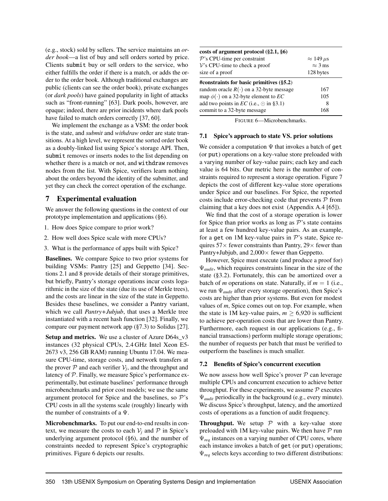(e.g., stock) sold by sellers. The service maintains an *order book*—a list of buy and sell orders sorted by price. Clients submit buy or sell orders to the service, who either fulfills the order if there is a match, or adds the order to the order book. Although traditional exchanges are public (clients can see the order book), private exchanges (or *dark pools*) have gained popularity in light of attacks such as "front-running" [\[63\]](#page-18-1). Dark pools, however, are opaque; indeed, there are prior incidents where dark pools have failed to match orders correctly [\[37,](#page-17-28) [60\]](#page-18-21).

We implement the exchange as a VSM: the order book is the state, and *submit* and *withdraw* order are state transitions. At a high level, we represent the sorted order book as a doubly-linked list using Spice's storage API. Then, submit removes or inserts nodes to the list depending on whether there is a match or not, and withdraw removes nodes from the list. With Spice, verifiers learn nothing about the orders beyond the identity of the submitter, and yet they can check the correct operation of the exchange.

# <span id="page-12-0"></span>7 Experimental evaluation

We answer the following questions in the context of our prototype implementation and applications ([§6\)](#page-11-0).

- 1. How does Spice compare to prior work?
- 2. How well does Spice scale with more CPUs?
- 3. What is the performance of apps built with Spice?

Baselines. We compare Spice to two prior systems for building VSMs: Pantry [\[25\]](#page-16-0) and Geppetto [\[34\]](#page-17-0). Sections [2.1](#page-3-0) and [8](#page-14-1) provide details of their storage primitives, but briefly, Pantry's storage operations incur costs logarithmic in the size of the state (due its use of Merkle trees), and the costs are linear in the size of the state in Geppetto. Besides these baselines, we consider a Pantry variant, which we call *Pantry+Jubjub*, that uses a Merkle tree instantiated with a recent hash function [\[32\]](#page-17-29). Finally, we compare our payment network app ([§7.3\)](#page-14-0) to Solidus [\[27\]](#page-16-1).

Setup and metrics. We use a cluster of Azure D64s\_v3 instances (32 physical CPUs, 2.4 GHz Intel Xeon E5- 2673 v3, 256 GB RAM) running Ubuntu 17.04. We measure CPU-time, storage costs, and network transfers at the prover  $P$  and each verifier  $V_j$ , and the throughput and latency of P. Finally, we measure Spice's performance experimentally, but estimate baselines' performance through microbenchmarks and prior cost models; we use the same argument protocol for Spice and the baselines, so  $\mathcal{P}$ 's CPU costs in all the systems scale (roughly) linearly with the number of constraints of a Ψ.

Microbenchmarks. To put our end-to-end results in context, we measure the costs to each  $V_i$  and  $\mathcal P$  in Spice's underlying argument protocol ([§6\)](#page-11-0), and the number of constraints needed to represent Spice's cryptographic primitives. Figure [6](#page-12-2) depicts our results.

<span id="page-12-2"></span>

| costs of argument protocol $(\S 2.1, \S 6)$   |                       |  |  |  |  |
|-----------------------------------------------|-----------------------|--|--|--|--|
| $\mathcal{P}$ 's CPU-time per constraint      | $\approx 149 \,\mu s$ |  |  |  |  |
| $V$ 's CPU-time to check a proof              | $\approx$ 3 ms        |  |  |  |  |
| size of a proof                               | 128 bytes             |  |  |  |  |
| #constraints for basic primitives $(\S 5.2)$  |                       |  |  |  |  |
| random oracle $R(\cdot)$ on a 32-byte message | 167                   |  |  |  |  |
| map $\phi(\cdot)$ on a 32-byte element to EC  | 105                   |  |  |  |  |
| add two points in EC (i.e., $\odot$ in §3.1)  | 8                     |  |  |  |  |
| commit to a 32-byte message                   | 168                   |  |  |  |  |

FIGURE 6—Microbenchmarks.

#### <span id="page-12-1"></span>7.1 Spice's approach to state VS. prior solutions

We consider a computation  $\Psi$  that invokes a batch of get (or put) operations on a key-value store preloaded with a varying number of key-value pairs; each key and each value is 64 bits. Our metric here is the number of constraints required to represent a storage operation. Figure [7](#page-13-1) depicts the cost of different key-value store operations under Spice and our baselines. For Spice, the reported costs include error-checking code that prevents  $P$  from claiming that a key does not exist (Appendix A.4 [\[65\]](#page-18-18)).

We find that the cost of a storage operation is lower for Spice than prior works as long as  $\mathcal{P}$ 's state contains at least a few hundred key-value pairs. As an example, for a get on 1M key-value pairs in  $\mathcal{P}$ 's state, Spice requires  $57\times$  fewer constraints than Pantry,  $29\times$  fewer than Pantry+Jubjub, and  $2,000\times$  fewer than Geppetto.

However, Spice must execute (and produce a proof for) Ψ*audit*, which requires constraints linear in the size of the state ([§3.2\)](#page-7-0). Fortunately, this can be amortized over a batch of *m* operations on state. Naturally, if  $m = 1$  (i.e., we run Ψ*audit* after every storage operation), then Spice's costs are higher than prior systems. But even for modest values of *m*, Spice comes out on top. For example, when the state is 1M key-value pairs,  $m \geq 6,920$  is sufficient to achieve per-operation costs that are lower than Pantry. Furthermore, each request in our applications (e.g., financial transactions) perform multiple storage operations; the number of requests per batch that must be verified to outperform the baselines is much smaller.

### 7.2 Benefits of Spice's concurrent execution

We now assess how well Spice's prover  $P$  can leverage multiple CPUs and concurrent execution to achieve better throughput. For these experiments, we assume  $P$  executes Ψ*audit* periodically in the background (e.g., every minute). We discuss Spice's throughput, latency, and the amortized costs of operations as a function of audit frequency.

**Throughput.** We setup  $P$  with a key-value store preloaded with 1M key-value pairs. We then have  $P$  run Ψ*req* instances on a varying number of CPU cores, where each instance invokes a batch of get (or put) operations; Ψ*req* selects keys according to two different distributions: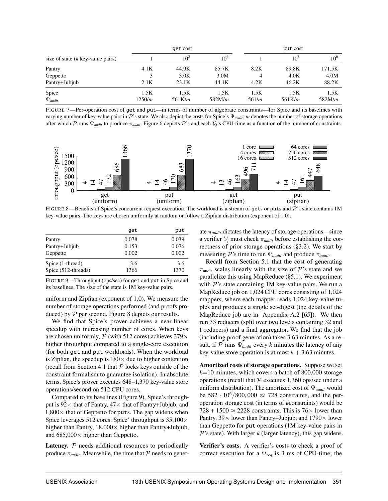<span id="page-13-1"></span>

|                                   | get cost |        |          |       | put cost        |          |  |
|-----------------------------------|----------|--------|----------|-------|-----------------|----------|--|
| size of state (# key-value pairs) |          | $10^3$ | $10^{6}$ |       | 10 <sup>3</sup> | $10^{6}$ |  |
| Pantry                            | 4.1K     | 44.9K  | 85.7K    | 8.2K  | 89.8K           | 171.5K   |  |
| Geppetto                          |          | 3.0K   | 3.0M     |       | 4.0K            | 4.0M     |  |
| Pantry+Jubjub                     | 2.1K     | 23.1K  | 44.1K    | 4.2K  | 46.2K           | 88.2K    |  |
| Spice                             | 1.5K     | 1.5K   | 1.5K     | 1.5K  | 1.5K            | 1.5K     |  |
| $\Psi_{audit}$                    | 1250/m   | 561K/m | 582M/m   | 561/m | 561K/m          | 582M/m   |  |

FIGURE 7—Per-operation cost of get and put—in terms of number of algebraic constraints—for Spice and its baselines with varying number of key-value pairs in P's state. We also depict the costs for Spice's Ψ*audit*; *m* denotes the number of storage operations after which P runs  $\Psi_{audit}$  to produce  $\pi_{audit}$ . Figure [6](#page-12-2) depicts P's and each  $V_i$ 's CPU-time as a function of the number of constraints.

<span id="page-13-2"></span>

FIGURE 8—Benefits of Spice's concurrent request execution. The workload is a stream of gets or puts and  $\mathcal P$ 's state contains 1M key-value pairs. The keys are chosen uniformly at random or follow a Zipfian distribution (exponent of 1.0).

<span id="page-13-3"></span>

|                     | get   | put   |
|---------------------|-------|-------|
| Pantry              | 0.078 | 0.039 |
| Pantry+Jubjub       | 0.153 | 0.076 |
| Geppetto            | 0.002 | 0.002 |
| Spice (1-thread)    | 3.6   | 3.6   |
| Spice (512-threads) | 1366  | 1370  |

FIGURE 9—Throughput (ops/sec) for get and put in Spice and its baselines. The size of the state is 1M key-value pairs.

uniform and Zipfian (exponent of 1.0). We measure the number of storage operations performed (and proofs produced) by  $P$  per second. Figure [8](#page-13-2) depicts our results.

We find that Spice's prover achieves a near-linear speedup with increasing number of cores. When keys are chosen uniformly,  $P$  (with 512 cores) achieves 379 $\times$ higher throughput compared to a single-core execution (for both get and put workloads). When the workload is Zipfian, the speedup is  $180\times$  due to higher contention (recall from Section [4.1](#page-8-1) that  $P$  locks keys outside of the constraint formalism to guarantee isolation). In absolute terms, Spice's prover executes 648–1,370 key-value store operations/second on 512 CPU cores.

Compared to its baselines (Figure [9\)](#page-13-3), Spice's throughput is  $92 \times$  that of Pantry,  $47 \times$  that of Pantry+Jubjub, and  $1,800\times$  that of Geppetto for puts. The gap widens when Spice leverages 512 cores: Spice' throughput is  $35,100 \times$ higher than Pantry,  $18,000 \times$  higher than Pantry+Jubjub, and  $685,000\times$  higher than Geppetto.

<span id="page-13-0"></span>Latency.  $P$  needs additional resources to periodically produce  $\pi_{\text{audit}}$ . Meanwhile, the time that  $\mathcal P$  needs to generate π*audit* dictates the latency of storage operations—since a verifier  $V_j$  must check  $\pi_{audit}$  before establishing the correctness of prior storage operations ([§3.2\)](#page-7-0). We start by measuring P's time to run Ψ*audit* and produce π*audit*.

Recall from Section [5.1](#page-10-4) that the cost of generating  $\pi_{\text{audit}}$  scales linearly with the size of P's state and we parallelize this using MapReduce ([§5.1\)](#page-10-4). We experiment with  $P$ 's state containing 1M key-value pairs. We run a MapReduce job on 1,024 CPU cores consisting of 1,024 mappers, where each mapper reads 1,024 key-value tuples and produces a single set-digest (the details of the MapReduce job are in Appendix A.2 [\[65\]](#page-18-18)). We then run 33 reducers (split over two levels containing 32 and 1 reducers) and a final aggregator. We find that the job (including proof generation) takes 3.63 minutes. As a result, if  $P$  runs  $\Psi_{\text{qudit}}$  every *k* minutes the latency of any key-value store operation is at most  $k + 3.63$  minutes.

Amortized costs of storage operations. Suppose we set  $k=10$  minutes, which covers a batch of 800,000 storage operations (recall that  $P$  executes 1,360 ops/sec under a uniform distribution). The amortized cost of Ψ*audit* would be  $582 \cdot 10^6 / 800,000 \approx 728$  constraints, and the peroperation storage cost (in terms of #constraints) would be 728 + 1500  $\approx$  2228 constraints. This is 76 $\times$  lower than Pantry,  $39 \times$  lower than Pantry+Jubjub, and  $1790 \times$  lower than Geppetto for put operations (1M key-value pairs in  $\mathcal{P}$ 's state). With larger *k* (larger latency), this gap widens.

Verifier's costs. A verifier's costs to check a proof of correct execution for a Ψ*req* is 3 ms of CPU-time; the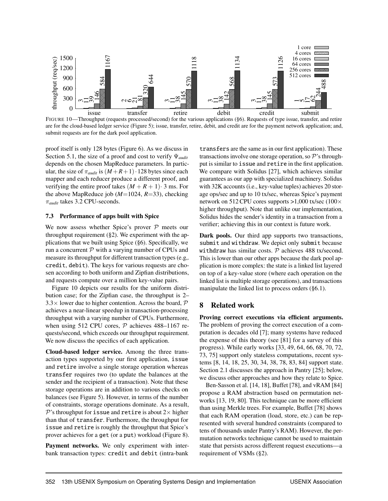<span id="page-14-2"></span>

FIGURE 10—Throughput (requests processed/second) for the various applications ([§6\)](#page-11-0). Requests of type issue, transfer, and retire are for the cloud-based ledger service (Figure [5\)](#page-11-1); issue, transfer, retire, debit, and credit are for the payment network application; and, submit requests are for the dark pool application.

proof itself is only 128 bytes (Figure [6\)](#page-12-2). As we discuss in Section [5.1,](#page-10-4) the size of a proof and cost to verify Ψ*audit* depends on the chosen MapReduce parameters. In particular, the size of  $\pi_{\text{audit}}$  is  $(M + R + 1) \cdot 128$  bytes since each mapper and each reducer produce a different proof, and verifying the entire proof takes  $(M + R + 1)$  · 3 ms. For the above MapReduce job  $(M=1024, R=33)$ , checking π*audit* takes 3.2 CPU-seconds.

### <span id="page-14-0"></span>7.3 Performance of apps built with Spice

We now assess whether Spice's prover  $P$  meets our throughput requirement  $(\S 2)$ . We experiment with the applications that we built using Spice ([§6\)](#page-11-0). Specifically, we run a concurrent  $P$  with a varying number of CPUs and measure its throughput for different transaction types (e.g,. credit, debit). The keys for various requests are chosen according to both uniform and Zipfian distributions, and requests compute over a million key-value pairs.

Figure [10](#page-14-2) depicts our results for the uniform distribution case; for the Zipfian case, the throughput is 2–  $3.3\times$  lower due to higher contention. Across the board,  $P$ achieves a near-linear speedup in transaction-processing throughput with a varying number of CPUs. Furthermore, when using 512 CPU cores,  $P$  achieves 488–1167 requests/second, which exceeds our throughput requirement. We now discuss the specifics of each application.

Cloud-based ledger service. Among the three transaction types supported by our first application, issue and retire involve a single storage operation whereas transfer requires two (to update the balances at the sender and the recipient of a transaction). Note that these storage operations are in addition to various checks on balances (see Figure [5\)](#page-11-1). However, in terms of the number of constraints, storage operations dominate. As a result,  $\mathcal P$ 's throughput for issue and retire is about 2 $\times$  higher than that of transfer. Furthermore, the throughput for issue and retire is roughly the throughput that Spice's prover achieves for a get (or a put) workload (Figure [8\)](#page-13-2).

Payment networks. We only experiment with interbank transaction types: credit and debit (intra-bank

transfers are the same as in our first application). These transactions involve one storage operation, so P's throughput is similar to issue and retire in the first application. We compare with Solidus [\[27\]](#page-16-1), which achieves similar guarantees as our app with specialized machinery. Solidus with 32K accounts (i.e., key-value tuples) achieves 20 storage ops/sec and up to 10 tx/sec, whereas Spice's payment network on 512 CPU cores supports  $>1,000$  tx/sec (100 $\times$ higher throughput). Note that unlike our implementation, Solidus hides the sender's identity in a transaction from a verifier; achieving this in our context is future work.

Dark pools. Our third app supports two transactions, submit and withdraw. We depict only submit because withdraw has similar costs.  $P$  achieves 488 tx/second. This is lower than our other apps because the dark pool application is more complex: the state is a linked list layered on top of a key-value store (where each operation on the linked list is multiple storage operations), and transactions manipulate the linked list to process orders ([§6.1\)](#page-11-2).

# <span id="page-14-1"></span>8 Related work

Proving correct executions via efficient arguments. The problem of proving the correct execution of a computation is decades old [\[7\]](#page-16-5); many systems have reduced the expense of this theory (see [\[81\]](#page-18-16) for a survey of this progress). While early works [\[33,](#page-17-12) [49,](#page-17-14) [64,](#page-18-4) [66,](#page-18-5) [68,](#page-18-6) [70,](#page-18-7) [72,](#page-18-8) [73,](#page-18-9) [75\]](#page-18-10) support only stateless computations, recent systems [\[8,](#page-16-6) [14,](#page-16-7) [18,](#page-16-8) [25,](#page-16-0) [30,](#page-17-1) [34,](#page-17-0) [38,](#page-17-13) [78,](#page-18-15) [83,](#page-18-0) [84\]](#page-18-13) support state. Section [2.1](#page-3-0) discusses the approach in Pantry [\[25\]](#page-16-0); below, we discuss other approaches and how they relate to Spice.

Ben-Sasson et al. [\[14,](#page-16-7) [18\]](#page-16-8), Buffet [\[78\]](#page-18-15), and vRAM [\[84\]](#page-18-13) propose a RAM abstraction based on permutation networks [\[13,](#page-16-18) [19,](#page-16-19) [80\]](#page-18-22). This technique can be more efficient than using Merkle trees. For example, Buffet [\[78\]](#page-18-15) shows that each RAM operation (load, store, etc.) can be represented with several hundred constraints (compared to tens of thousands under Pantry's RAM). However, the permutation networks technique cannot be used to maintain state that persists across different request executions—a requirement of VSMs ([§2\)](#page-2-1).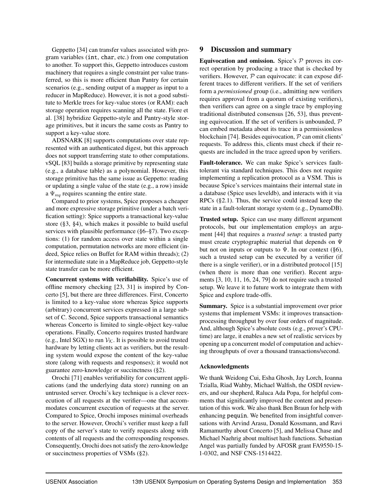Geppetto [\[34\]](#page-17-0) can transfer values associated with program variables (int, char, etc.) from one computation to another. To support this, Geppetto introduces custom machinery that requires a single constraint per value transferred, so this is more efficient than Pantry for certain scenarios (e.g., sending output of a mapper as input to a reducer in MapReduce). However, it is not a good substitute to Merkle trees for key-value stores (or RAM): each storage operation requires scanning all the state. Fiore et al. [\[38\]](#page-17-13) hybridize Geppetto-style and Pantry-style storage primitives, but it incurs the same costs as Pantry to support a key-value store.

ADSNARK [\[8\]](#page-16-6) supports computations over state represented with an authenticated digest, but this approach does not support transferring state to other computations. vSQL [\[83\]](#page-18-0) builds a storage primitive by representing state (e.g., a database table) as a polynomial. However, this storage primitive has the same issue as Geppetto: reading or updating a single value of the state (e.g., a row) inside a  $\Psi_{\text{req}}$  requires scanning the entire state.

Compared to prior systems, Spice proposes a cheaper and more expressive storage primitive (under a batch verification setting): Spice supports a transactional key-value store ([§3,](#page-4-0) [§4\)](#page-8-0), which makes it possible to build useful services with plausible performance ([§6–](#page-11-0)[§7\)](#page-12-0). Two exceptions: (1) for random access over state within a single computation, permutation networks are more efficient (indeed, Spice relies on Buffet for RAM within threads); (2) for intermediate state in a MapReduce job, Geppetto-style state transfer can be more efficient.

Concurrent systems with verifiability. Spice's use of offline memory checking [\[23,](#page-16-11) [31\]](#page-17-17) is inspired by Concerto [\[5\]](#page-16-10), but there are three differences. First, Concerto is limited to a key-value store whereas Spice supports (arbitrary) concurrent services expressed in a large subset of C. Second, Spice supports transactional semantics whereas Concerto is limited to single-object key-value operations. Finally, Concerto requires trusted hardware (e.g., Intel SGX) to run  $V_K$ . It is possible to avoid trusted hardware by letting clients act as verifiers, but the resulting system would expose the content of the key-value store (along with requests and responses); it would not guarantee zero-knowledge or succinctness ([§2\)](#page-2-1).

Orochi [\[71\]](#page-18-19) enables verifiability for concurrent applications (and the underlying data store) running on an untrusted server. Orochi's key technique is a clever reexecution of all requests at the verifier—one that accommodates concurrent execution of requests at the server. Compared to Spice, Orochi imposes minimal overheads to the server. However, Orochi's verifier must keep a full copy of the server's state to verify requests along with contents of all requests and the corresponding responses. Consequently, Orochi does not satisfy the zero-knowledge or succinctness properties of VSMs ([§2\)](#page-2-1).

# <span id="page-15-0"></span>9 Discussion and summary

Equivocation and omission. Spice's  $P$  proves its correct operation by producing a trace that is checked by verifiers. However,  $P$  can equivocate: it can expose different traces to different verifiers. If the set of verifiers form a *permissioned* group (i.e., admitting new verifiers requires approval from a quorum of existing verifiers), then verifiers can agree on a single trace by employing traditional distributed consensus [\[26,](#page-16-20) [53\]](#page-17-30), thus preventing equivocation. If the set of verifiers is unbounded,  $P$ can embed metadata about its trace in a permissionless blockchain [\[74\]](#page-18-23). Besides equivocation,  $P$  can omit clients' requests. To address this, clients must check if their requests are included in the trace agreed upon by verifiers.

Fault-tolerance. We can make Spice's services faulttolerant via standard techniques. This does not require implementing a replication protocol as a VSM. This is because Spice's services maintains their internal state in a database (Spice uses leveldb), and interacts with it via RPCs ([§2.1\)](#page-3-0). Thus, the service could instead keep the state in a fault-tolerant storage system (e.g., DynamoDB).

Trusted setup. Spice can use many different argument protocols, but our implementation employs an argument [\[44\]](#page-17-19) that requires a *trusted setup*: a trusted party must create cryptographic material that depends on Ψ but not on inputs or outputs to  $\Psi$ . In our context ([§6\)](#page-11-0), such a trusted setup can be executed by a verifier (if there is a single verifier), or in a distributed protocol [\[15\]](#page-16-21) (when there is more than one verifier). Recent arguments [\[3,](#page-16-22) [10,](#page-16-23) [11,](#page-16-24) [16,](#page-16-25) [24,](#page-16-26) [79\]](#page-18-11) do not require such a trusted setup. We leave it to future work to integrate them with Spice and explore trade-offs.

Summary. Spice is a substantial improvement over prior systems that implement VSMs: it improves transactionprocessing throughput by over four orders of magnitude. And, although Spice's absolute costs (e.g., prover's CPUtime) are large, it enables a new set of realistic services by opening up a concurrent model of computation and achieving throughputs of over a thousand transactions/second.

## Acknowledgments

We thank Weidong Cui, Esha Ghosh, Jay Lorch, Ioanna Tzialla, Riad Wahby, Michael Walfish, the OSDI reviewers, and our shepherd, Raluca Ada Popa, for helpful comments that significantly improved the content and presentation of this work. We also thank Ben Braun for help with enhancing pequin. We benefited from insightful conversations with Arvind Arasu, Donald Kossmann, and Ravi Ramamurthy about Concerto [\[5\]](#page-16-10), and Melissa Chase and Michael Naehrig about multiset hash functions. Sebastian Angel was partially funded by AFOSR grant FA9550-15- 1-0302, and NSF CNS-1514422.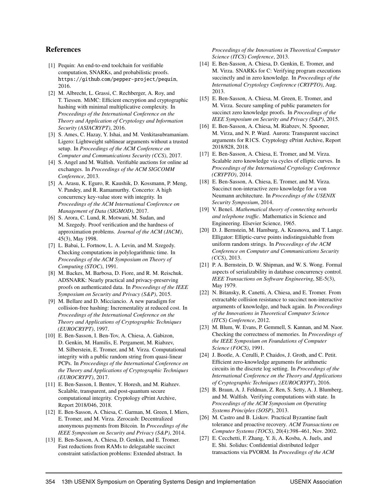# References

- <span id="page-16-12"></span>[1] Pequin: An end-to-end toolchain for verifiable computation, SNARKs, and probabilistic proofs. https://github.[com/pepper-project/pequin](https://github.com/pepper-project/pequin), 2016.
- <span id="page-16-17"></span>[2] M. Albrecht, L. Grassi, C. Rechberger, A. Roy, and T. Tiessen. MiMC: Efficient encryption and cryptographic hashing with minimal multiplicative complexity. In *Proceedings of the International Conference on the Theory and Application of Cryptology and Information Security (ASIACRYPT)*, 2016.
- <span id="page-16-22"></span>[3] S. Ames, C. Hazay, Y. Ishai, and M. Venkitasubramaniam. Ligero: Lightweight sublinear arguments without a trusted setup. In *Proceedings of the ACM Conference on Computer and Communications Security (CCS)*, 2017.
- <span id="page-16-2"></span>[4] S. Angel and M. Walfish. Verifiable auctions for online ad exchanges. In *Proceedings of the ACM SIGCOMM Conference*, 2013.
- <span id="page-16-10"></span>[5] A. Arasu, K. Eguro, R. Kaushik, D. Kossmann, P. Meng, V. Pandey, and R. Ramamurthy. Concerto: A high concurrency key-value store with integrity. In *Proceedings of the ACM International Conference on Management of Data (SIGMOD)*, 2017.
- <span id="page-16-4"></span>[6] S. Arora, C. Lund, R. Motwani, M. Sudan, and M. Szegedy. Proof verification and the hardness of approximation problems. *Journal of the ACM (JACM)*, 45(3), May 1998.
- <span id="page-16-5"></span>[7] L. Babai, L. Fortnow, L. A. Levin, and M. Szegedy. Checking computations in polylogarithmic time. In *Proceedings of the ACM Symposium on Theory of Computing (STOC)*, 1991.
- <span id="page-16-6"></span>[8] M. Backes, M. Barbosa, D. Fiore, and R. M. Reischuk. ADSNARK: Nearly practical and privacy-preserving proofs on authenticated data. In *Proceedings of the IEEE Symposium on Security and Privacy (S&P)*, 2015.
- <span id="page-16-14"></span>[9] M. Bellare and D. Micciancio. A new paradigm for collision-free hashing: Incrementality at reduced cost. In *Proceedings of the International Conference on the Theory and Applications of Cryptographic Techniques (EUROCRYPT)*, 1997.
- <span id="page-16-23"></span>[10] E. Ben-Sasson, I. Ben-Tov, A. Chiesa, A. Gabizon, D. Genkin, M. Hamilis, E. Pergament, M. Riabzev, M. Silberstein, E. Tromer, and M. Virza. Computational integrity with a public random string from quasi-linear PCPs. In *Proceedings of the International Conference on the Theory and Applications of Cryptographic Techniques (EUROCRYPT)*, 2017.
- <span id="page-16-24"></span>[11] E. Ben-Sasson, I. Bentov, Y. Horesh, and M. Riabzev. Scalable, transparent, and post-quantum secure computational integrity. Cryptology ePrint Archive, Report 2018/046, 2018.
- <span id="page-16-3"></span>[12] E. Ben-Sasson, A. Chiesa, C. Garman, M. Green, I. Miers, E. Tromer, and M. Virza. Zerocash: Decentralized anonymous payments from Bitcoin. In *Proceedings of the IEEE Symposium on Security and Privacy (S&P)*, 2014.
- <span id="page-16-18"></span>[13] E. Ben-Sasson, A. Chiesa, D. Genkin, and E. Tromer. Fast reductions from RAMs to delegatable succinct constraint satisfaction problems: Extended abstract. In

*Proceedings of the Innovations in Theoretical Computer Science (ITCS) Conference*, 2013.

- <span id="page-16-7"></span>[14] E. Ben-Sasson, A. Chiesa, D. Genkin, E. Tromer, and M. Virza. SNARKs for C: Verifying program executions succinctly and in zero knowledge. In *Proceedings of the International Cryptology Conference (CRYPTO)*, Aug. 2013.
- <span id="page-16-21"></span>[15] E. Ben-Sasson, A. Chiesa, M. Green, E. Tromer, and M. Virza. Secure sampling of public parameters for succinct zero knowledge proofs. In *Proceedings of the IEEE Symposium on Security and Privacy (S&P)*, 2015.
- <span id="page-16-25"></span>[16] E. Ben-Sasson, A. Chiesa, M. Riabzev, N. Spooner, M. Virza, and N. P. Ward. Aurora: Transparent succinct arguments for R1CS. Cryptology ePrint Archive, Report 2018/828, 2018.
- <span id="page-16-15"></span>[17] E. Ben-Sasson, A. Chiesa, E. Tromer, and M. Virza. Scalable zero knowledge via cycles of elliptic curves. In *Proceedings of the International Cryptology Conference (CRYPTO)*, 2014.
- <span id="page-16-8"></span>[18] E. Ben-Sasson, A. Chiesa, E. Tromer, and M. Virza. Succinct non-interactive zero knowledge for a von Neumann architecture. In *Proceedings of the USENIX Security Symposium*, 2014.
- <span id="page-16-19"></span>[19] V. Beneš. *Mathematical theory of connecting networks and telephone traffic*. Mathematics in Science and Engineering. Elsevier Science, 1965.
- <span id="page-16-16"></span>[20] D. J. Bernstein, M. Hamburg, A. Krasnova, and T. Lange. Elligator: Elliptic-curve points indistinguishable from uniform random strings. In *Proceedings of the ACM Conference on Computer and Communications Security (CCS)*, 2013.
- <span id="page-16-9"></span>[21] P. A. Bernstein, D. W. Shipman, and W. S. Wong. Formal aspects of serializability in database concurrency control. *IEEE Transactions on Software Engineering*, SE-5(3), May 1979.
- <span id="page-16-13"></span>[22] N. Bitansky, R. Canetti, A. Chiesa, and E. Tromer. From extractable collision resistance to succinct non-interactive arguments of knowledge, and back again. In *Proceedings of the Innovations in Theoretical Computer Science (ITCS) Conference*, 2012.
- <span id="page-16-11"></span>[23] M. Blum, W. Evans, P. Gemmell, S. Kannan, and M. Naor. Checking the correctness of memories. In *Proceedings of the IEEE Symposium on Foundations of Computer Science (FOCS)*, 1991.
- <span id="page-16-26"></span>[24] J. Bootle, A. Cerulli, P. Chaidos, J. Groth, and C. Petit. Efficient zero-knowledge arguments for arithmetic circuits in the discrete log setting. In *Proceedings of the International Conference on the Theory and Applications of Cryptographic Techniques (EUROCRYPT)*, 2016.
- <span id="page-16-0"></span>[25] B. Braun, A. J. Feldman, Z. Ren, S. Setty, A. J. Blumberg, and M. Walfish. Verifying computations with state. In *Proceedings of the ACM Symposium on Operating Systems Principles (SOSP)*, 2013.
- <span id="page-16-20"></span>[26] M. Castro and B. Liskov. Practical Byzantine fault tolerance and proactive recovery. *ACM Transactions on Computer Systems (TOCS)*, 20(4):398–461, Nov. 2002.
- <span id="page-16-1"></span>[27] E. Cecchetti, F. Zhang, Y. Ji, A. Kosba, A. Juels, and E. Shi. Solidus: Confidential distributed ledger transactions via PVORM. In *Proceedings of the ACM*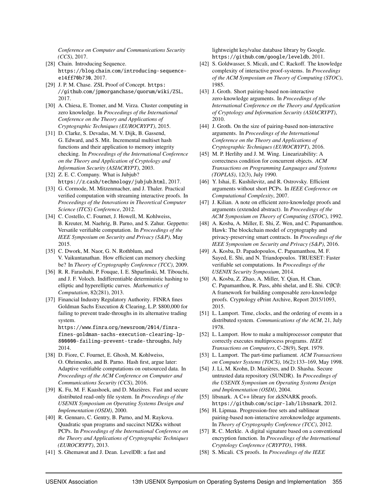*Conference on Computer and Communications Security (CCS)*, 2017.

- <span id="page-17-2"></span>[28] Chain. Introducing Sequence. https://blog.chain.[com/introducing-sequence](https://blog.chain.com/introducing-sequence-e14ff70b730)[e14ff70b730](https://blog.chain.com/introducing-sequence-e14ff70b730), 2017.
- <span id="page-17-3"></span>[29] J. P. M. Chase. ZSL Proof of Concept. [https:](https://github.com/jpmorganchase/quorum/wiki/ZSL) //github.[com/jpmorganchase/quorum/wiki/ZSL](https://github.com/jpmorganchase/quorum/wiki/ZSL), 2017.
- <span id="page-17-1"></span>[30] A. Chiesa, E. Tromer, and M. Virza. Cluster computing in zero knowledge. In *Proceedings of the International Conference on the Theory and Applications of Cryptographic Techniques (EUROCRYPT)*, 2015.
- <span id="page-17-17"></span>[31] D. Clarke, S. Devadas, M. V. Dijk, B. Gassend, G. Edward, and S. Mit. Incremental multiset hash functions and their application to memory integrity checking. In *Proceedings of the International Conference on the Theory and Application of Cryptology and Information Security (ASIACRYPT)*, 2003.
- <span id="page-17-29"></span>[32] Z. E. C. Company. What is Jubjub? https://z.[cash/technology/jubjub](https://z.cash/technology/jubjub.html).html, 2017.
- <span id="page-17-12"></span>[33] G. Cormode, M. Mitzenmacher, and J. Thaler. Practical verified computation with streaming interactive proofs. In *Proceedings of the Innovations in Theoretical Computer Science (ITCS) Conference*, 2012.
- <span id="page-17-0"></span>[34] C. Costello, C. Fournet, J. Howell, M. Kohlweiss, B. Kreuter, M. Naehrig, B. Parno, and S. Zahur. Geppetto: Versatile verifiable computation. In *Proceedings of the IEEE Symposium on Security and Privacy (S&P)*, May 2015.
- <span id="page-17-18"></span>[35] C. Dwork, M. Naor, G. N. Rothblum, and V. Vaikuntanathan. How efficient can memory checking be? In *Theory of Cryptography Conference (TCC)*, 2009.
- <span id="page-17-25"></span>[36] R. R. Farashahi, P. Fouque, I. E. Shparlinski, M. Tibouchi, and J. F. Voloch. Indifferentiable deterministic hashing to elliptic and hyperelliptic curves. *Mathematics of Computation*, 82(281), 2013.
- <span id="page-17-28"></span>[37] Financial Industry Regulatory Authority. FINRA fines Goldman Sachs Execution & Clearing, L.P. \$800,000 for failing to prevent trade-throughs in its alternative trading system.

https://www.finra.[org/newsroom/2014/finra](https://www.finra.org/newsroom/2014/finra-fines-goldman-sachs-execution-clearing-lp-800000-failing-prevent-trade-throughs)[fines-goldman-sachs-execution-clearing-lp-](https://www.finra.org/newsroom/2014/finra-fines-goldman-sachs-execution-clearing-lp-800000-failing-prevent-trade-throughs)[800000-failing-prevent-trade-throughs](https://www.finra.org/newsroom/2014/finra-fines-goldman-sachs-execution-clearing-lp-800000-failing-prevent-trade-throughs), July 2014.

- <span id="page-17-13"></span>[38] D. Fiore, C. Fournet, E. Ghosh, M. Kohlweiss, O. Ohrimenko, and B. Parno. Hash first, argue later: Adaptive verifiable computations on outsourced data. In *Proceedings of the ACM Conference on Computer and Communications Security (CCS)*, 2016.
- <span id="page-17-20"></span>[39] K. Fu, M. F. Kaashoek, and D. Mazières. Fast and secure distributed read-only file system. In *Proceedings of the USENIX Symposium on Operating Systems Design and Implementation (OSDI)*, 2000.
- <span id="page-17-5"></span>[40] R. Gennaro, C. Gentry, B. Parno, and M. Raykova. Quadratic span programs and succinct NIZKs without PCPs. In *Proceedings of the International Conference on the Theory and Applications of Cryptographic Techniques (EUROCRYPT)*, 2013.
- <span id="page-17-27"></span>[41] S. Ghemawat and J. Dean. LevelDB: a fast and

lightweight key/value database library by Google. https://github.[com/google/leveldb](https://github.com/google/leveldb), 2011.

- <span id="page-17-11"></span>[42] S. Goldwasser, S. Micali, and C. Rackoff. The knowledge complexity of interactive proof-systems. In *Proceedings of the ACM Symposium on Theory of Computing (STOC)*, 1985.
- <span id="page-17-6"></span>[43] J. Groth. Short pairing-based non-interactive zero-knowledge arguments. In *Proceedings of the International Conference on the Theory and Application of Cryptology and Information Security (ASIACRYPT)*, 2010.
- <span id="page-17-19"></span>[44] J. Groth. On the size of pairing-based non-interactive arguments. In *Proceedings of the International Conference on the Theory and Applications of Cryptographic Techniques (EUROCRYPT)*, 2016.
- <span id="page-17-16"></span>[45] M. P. Herlihy and J. M. Wing. Linearizability: A correctness condition for concurrent objects. *ACM Transactions on Programming Languages and Systems (TOPLAS)*, 12(3), July 1990.
- <span id="page-17-7"></span>[46] Y. Ishai, E. Kushilevitz, and R. Ostrovsky. Efficient arguments without short PCPs. In *IEEE Conference on Computational Complexity*, 2007.
- <span id="page-17-8"></span>[47] J. Kilian. A note on efficient zero-knowledge proofs and arguments (extended abstract). In *Proceedings of the ACM Symposium on Theory of Computing (STOC)*, 1992.
- <span id="page-17-4"></span>[48] A. Kosba, A. Miller, E. Shi, Z. Wen, and C. Papamanthou. Hawk: The blockchain model of cryptography and privacy-preserving smart contracts. In *Proceedings of the IEEE Symposium on Security and Privacy (S&P)*, 2016.
- <span id="page-17-14"></span>[49] A. Kosba, D. Papadopoulos, C. Papamanthou, M. F. Sayed, E. Shi, and N. Triandopoulos. TRUESET: Faster verifiable set computations. In *Proceedings of the USENIX Security Symposium*, 2014.
- <span id="page-17-24"></span>[50] A. Kosba, Z. Zhao, A. Miller, Y. Qian, H. Chan, C. Papamanthou, R. Pass, abhi shelat, and E. Shi. C∅C∅: A framework for building composable zero-knowledge proofs. Cryptology ePrint Archive, Report 2015/1093, 2015.
- <span id="page-17-23"></span>[51] L. Lamport. Time, clocks, and the ordering of events in a distributed system. *Communications of the ACM*, 21, July 1978.
- <span id="page-17-15"></span>[52] L. Lamport. How to make a multiprocessor computer that correctly executes multiprocess programs. *IEEE Transactions on Computers*, C-28(9), Sept. 1979.
- <span id="page-17-30"></span>[53] L. Lamport. The part-time parliament. *ACM Transactions on Computer Systems (TOCS)*, 16(2):133–169, May 1998.
- <span id="page-17-21"></span>[54] J. Li, M. Krohn, D. Mazières, and D. Shasha. Secure untrusted data repository (SUNDR). In *Proceedings of the USENIX Symposium on Operating Systems Design and Implementation (OSDI)*, 2004.
- <span id="page-17-26"></span>[55] libsnark. A C++ library for zkSNARK proofs. https://github.[com/scipr-lab/libsnark](https://github.com/scipr-lab/libsnark), 2012.
- <span id="page-17-9"></span>[56] H. Lipmaa. Progression-free sets and sublinear pairing-based non-interactive zeroknowledge arguments. In *Theory of Cryptography Conference (TCC)*, 2012.
- <span id="page-17-22"></span>[57] R. C. Merkle. A digital signature based on a conventional encryption function. In *Proceedings of the International Cryptology Conference (CRYPTO)*, 1988.
- <span id="page-17-10"></span>[58] S. Micali. CS proofs. In *Proceedings of the IEEE*